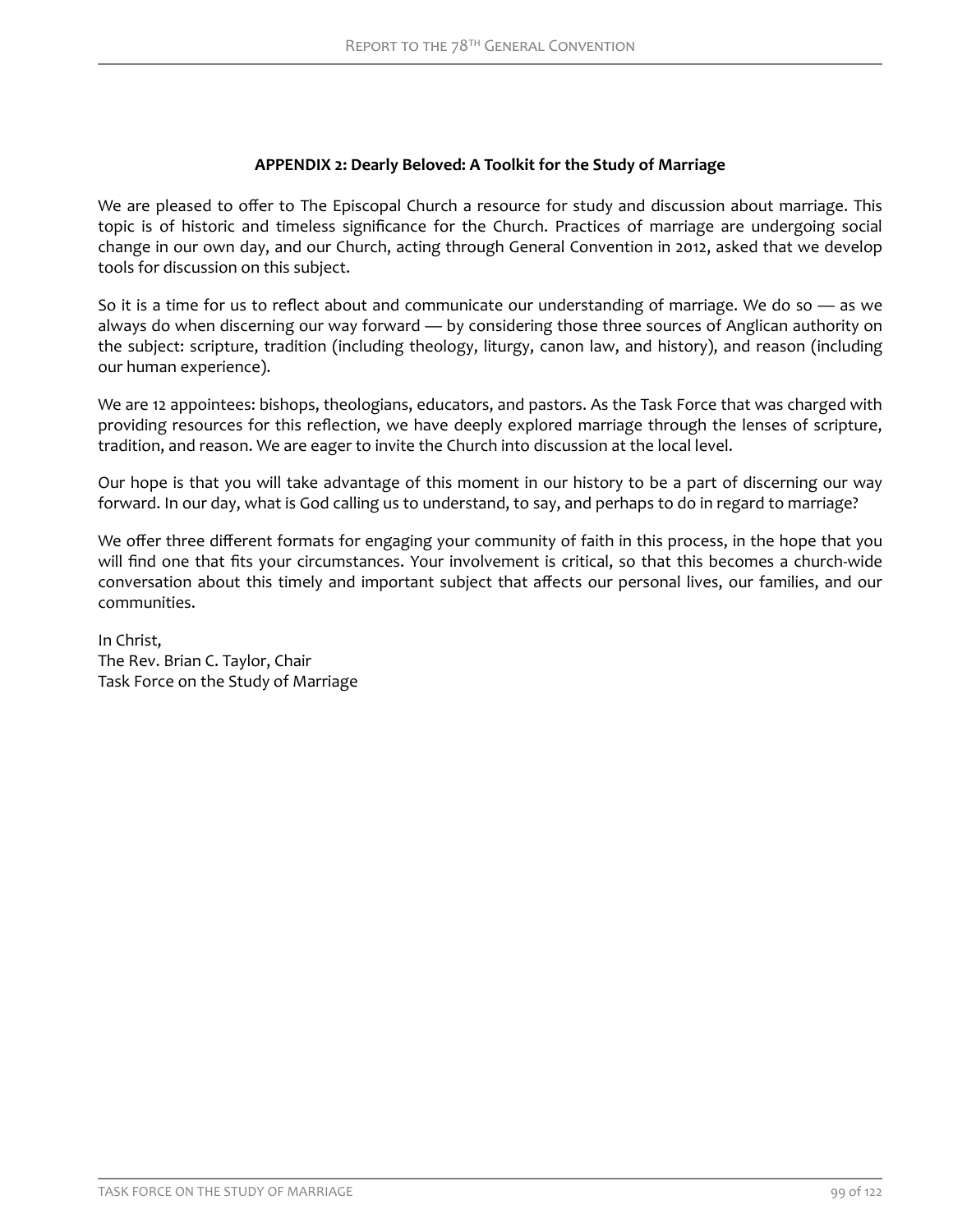## **APPENDIX 2: Dearly Beloved: A Toolkit for the Study of Marriage**

We are pleased to offer to The Episcopal Church a resource for study and discussion about marriage. This topic is of historic and timeless significance for the Church. Practices of marriage are undergoing social change in our own day, and our Church, acting through General Convention in 2012, asked that we develop tools for discussion on this subject.

So it is a time for us to reflect about and communicate our understanding of marriage. We do so — as we always do when discerning our way forward — by considering those three sources of Anglican authority on the subject: scripture, tradition (including theology, liturgy, canon law, and history), and reason (including our human experience).

We are 12 appointees: bishops, theologians, educators, and pastors. As the Task Force that was charged with providing resources for this reflection, we have deeply explored marriage through the lenses of scripture, tradition, and reason. We are eager to invite the Church into discussion at the local level.

Our hope is that you will take advantage of this moment in our history to be a part of discerning our way forward. In our day, what is God calling us to understand, to say, and perhaps to do in regard to marriage?

We offer three different formats for engaging your community of faith in this process, in the hope that you will find one that fits your circumstances. Your involvement is critical, so that this becomes a church-wide conversation about this timely and important subject that affects our personal lives, our families, and our communities.

In Christ, The Rev. Brian C. Taylor, Chair Task Force on the Study of Marriage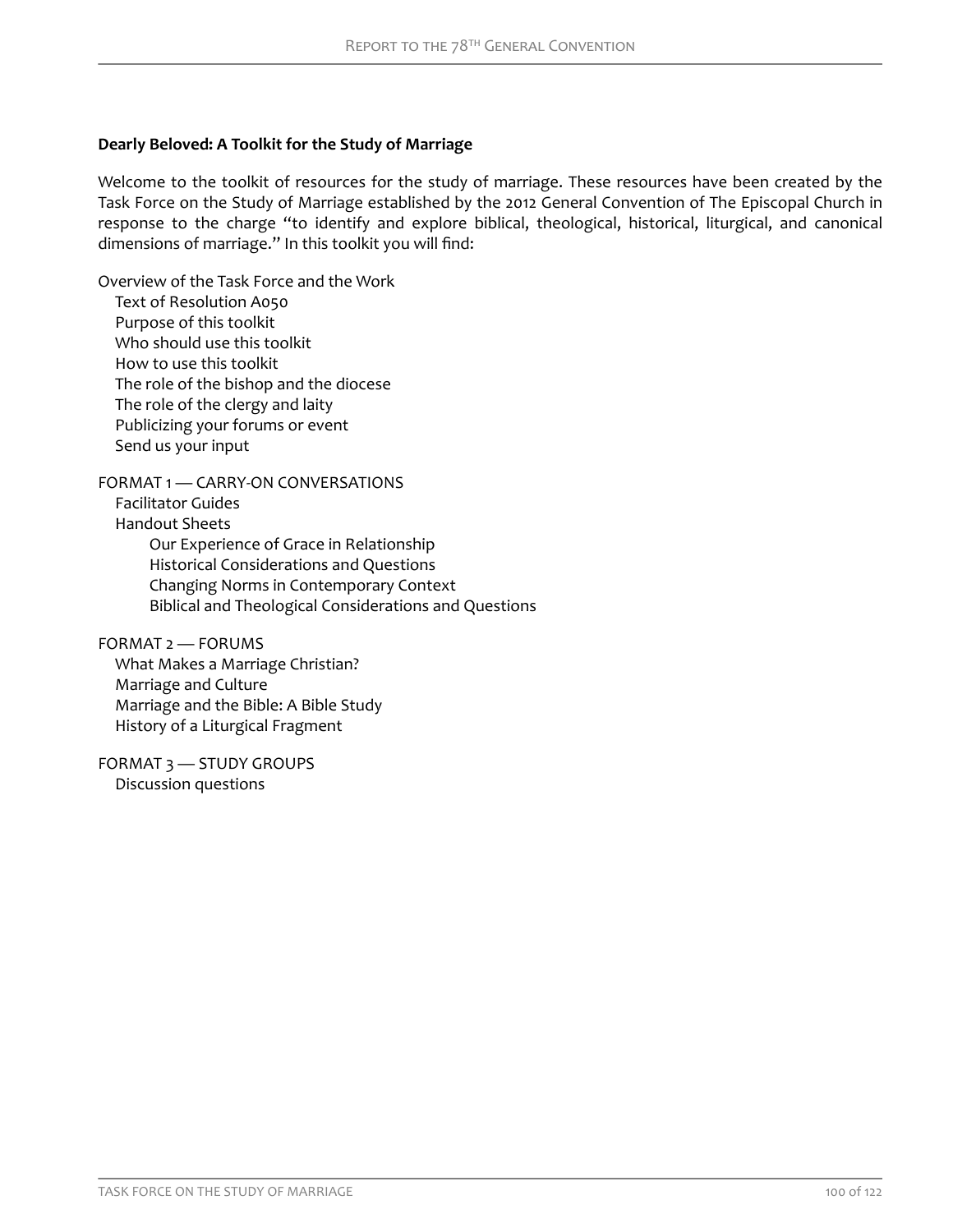## **Dearly Beloved: A Toolkit for the Study of Marriage**

Welcome to the toolkit of resources for the study of marriage. These resources have been created by the Task Force on the Study of Marriage established by the 2012 General Convention of The Episcopal Church in response to the charge "to identify and explore biblical, theological, historical, liturgical, and canonical dimensions of marriage." In this toolkit you will find:

[Overview of the Task Force and the Work](#page-2-0) [Text of Resolution A050](#page-2-0) [Purpose of this toolkit](#page-4-0) [Who should use this toolkit](#page-4-0) [How to use this toolkit](#page-4-0) [The role of the bishop and the diocese](#page-5-0) [The role of the clergy and laity](#page-5-0) [Publicizing your forums or event](#page-5-0) [Send us your input](#page-6-0)

[FORMAT 1 — CARRY-ON CONVERSATIONS](#page-7-0)

[Facilitator Guides](#page-9-0)

[Handout Sheets](#page-11-0)

[Our Experience of Grace in Relationship](#page-11-0) [Historical Considerations and Questions](#page-12-0) [Changing Norms in Contemporary Context](#page-14-0) [Biblical and Theological Considerations and Questions](#page-14-0)

[FORMAT 2 — FORUMS](#page-16-0)

[What Makes a Marriage Christian?](#page-17-0) [Marriage and Culture](#page-18-0) [Marriage and the Bible: A Bible Study](#page-18-0) [History of a Liturgical Fragment](#page-20-0)

[FORMAT 3 — STUDY GROUPS](#page-23-0) [Discussion questions](#page-23-0)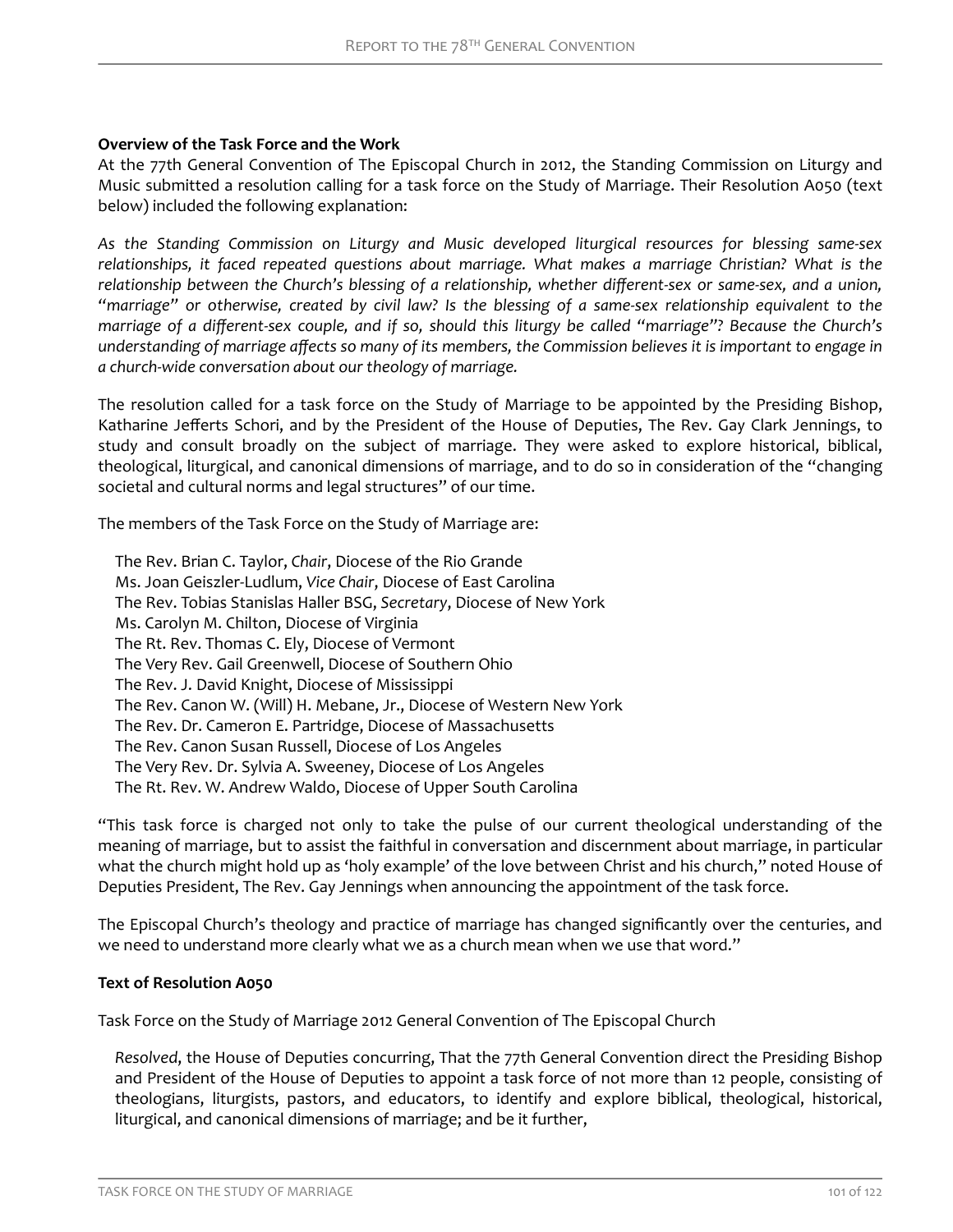## <span id="page-2-0"></span>**Overview of the Task Force and the Work**

At the 77th General Convention of The Episcopal Church in 2012, the Standing Commission on Liturgy and Music submitted a resolution calling for a task force on the Study of Marriage. Their Resolution A050 (text below) included the following explanation:

*As the Standing Commission on Liturgy and Music developed liturgical resources for blessing same-sex relationships, it faced repeated questions about marriage. What makes a marriage Christian? What is the* relationship between the Church's blessing of a relationship, whether different-sex or same-sex, and a union, *"marriage" or otherwise, created by civil law? Is the blessing of a same-sex relationship equivalent to the marriage of a different-sex couple, and if so, should this liturgy be called "marriage"? Because the Church's* understanding of marriage affects so many of its members, the Commission believes it is important to engage in *a church-wide conversation about our theology of marriage.*

The resolution called for a task force on the Study of Marriage to be appointed by the Presiding Bishop, Katharine Jefferts Schori, and by the President of the House of Deputies, The Rev. Gay Clark Jennings, to study and consult broadly on the subject of marriage. They were asked to explore historical, biblical, theological, liturgical, and canonical dimensions of marriage, and to do so in consideration of the "changing societal and cultural norms and legal structures" of our time.

The members of the Task Force on the Study of Marriage are:

The Rev. Brian C. Taylor, *Chair*, Diocese of the Rio Grande Ms. Joan Geiszler-Ludlum, *Vice Chair*, Diocese of East Carolina The Rev. Tobias Stanislas Haller BSG, *Secretary*, Diocese of New York Ms. Carolyn M. Chilton, Diocese of Virginia The Rt. Rev. Thomas C. Ely, Diocese of Vermont The Very Rev. Gail Greenwell, Diocese of Southern Ohio The Rev. J. David Knight, Diocese of Mississippi The Rev. Canon W. (Will) H. Mebane, Jr., Diocese of Western New York The Rev. Dr. Cameron E. Partridge, Diocese of Massachusetts The Rev. Canon Susan Russell, Diocese of Los Angeles The Very Rev. Dr. Sylvia A. Sweeney, Diocese of Los Angeles The Rt. Rev. W. Andrew Waldo, Diocese of Upper South Carolina

"This task force is charged not only to take the pulse of our current theological understanding of the meaning of marriage, but to assist the faithful in conversation and discernment about marriage, in particular what the church might hold up as 'holy example' of the love between Christ and his church," noted House of Deputies President, The Rev. Gay Jennings when announcing the appointment of the task force.

The Episcopal Church's theology and practice of marriage has changed significantly over the centuries, and we need to understand more clearly what we as a church mean when we use that word."

### **Text of Resolution A050**

Task Force on the Study of Marriage 2012 General Convention of The Episcopal Church

*Resolved*, the House of Deputies concurring, That the 77th General Convention direct the Presiding Bishop and President of the House of Deputies to appoint a task force of not more than 12 people, consisting of theologians, liturgists, pastors, and educators, to identify and explore biblical, theological, historical, liturgical, and canonical dimensions of marriage; and be it further,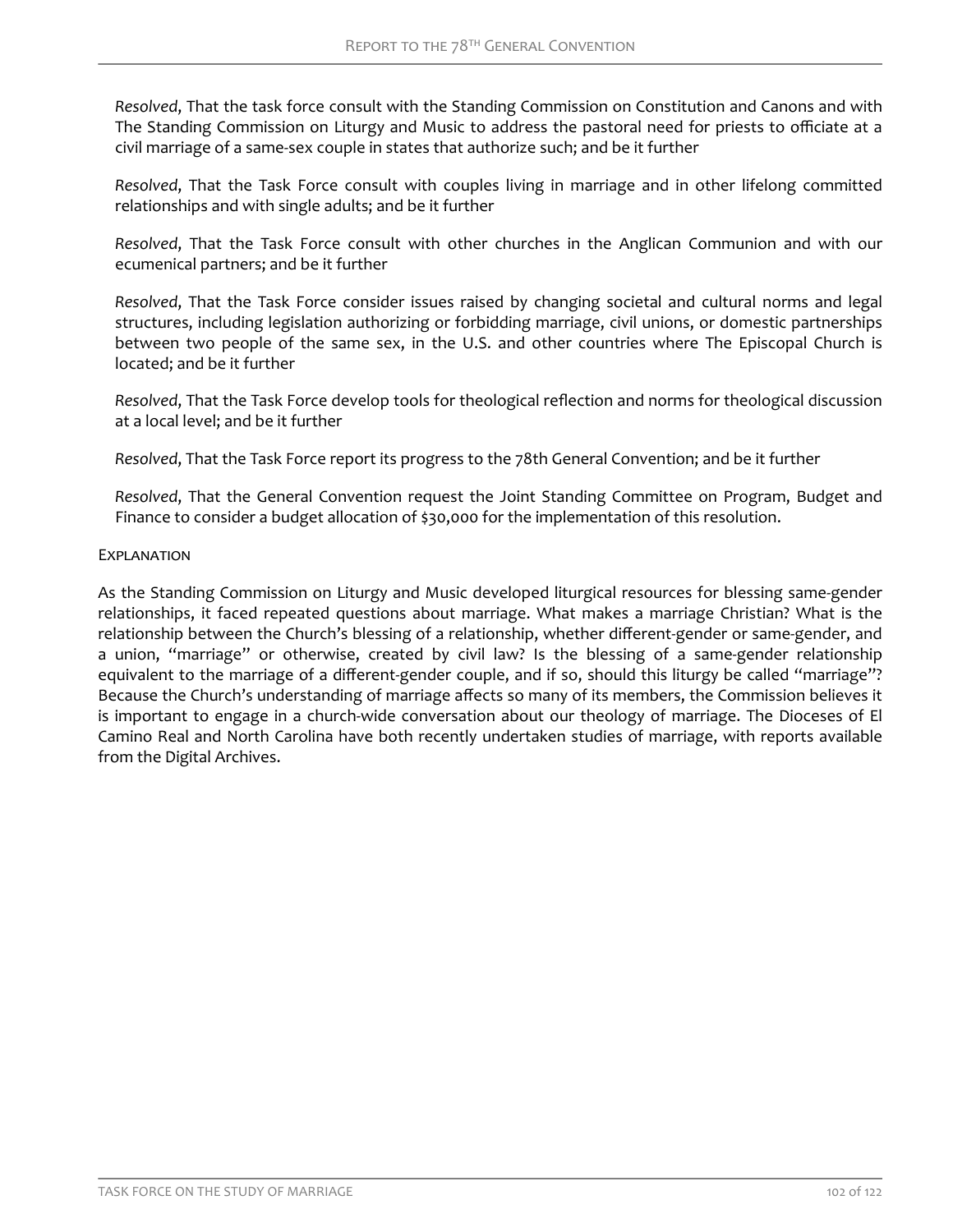*Resolved*, That the task force consult with the Standing Commission on Constitution and Canons and with The Standing Commission on Liturgy and Music to address the pastoral need for priests to officiate at a civil marriage of a same-sex couple in states that authorize such; and be it further

*Resolved*, That the Task Force consult with couples living in marriage and in other lifelong committed relationships and with single adults; and be it further

*Resolved*, That the Task Force consult with other churches in the Anglican Communion and with our ecumenical partners; and be it further

*Resolved*, That the Task Force consider issues raised by changing societal and cultural norms and legal structures, including legislation authorizing or forbidding marriage, civil unions, or domestic partnerships between two people of the same sex, in the U.S. and other countries where The Episcopal Church is located; and be it further

Resolved, That the Task Force develop tools for theological reflection and norms for theological discussion at a local level; and be it further

*Resolved*, That the Task Force report its progress to the 78th General Convention; and be it further

*Resolved*, That the General Convention request the Joint Standing Committee on Program, Budget and Finance to consider a budget allocation of \$30,000 for the implementation of this resolution.

#### EXPLANATION

As the Standing Commission on Liturgy and Music developed liturgical resources for blessing same-gender relationships, it faced repeated questions about marriage. What makes a marriage Christian? What is the relationship between the Church's blessing of a relationship, whether different-gender or same-gender, and a union, "marriage" or otherwise, created by civil law? Is the blessing of a same-gender relationship equivalent to the marriage of a different-gender couple, and if so, should this liturgy be called "marriage"? Because the Church's understanding of marriage affects so many of its members, the Commission believes it is important to engage in a church-wide conversation about our theology of marriage. The Dioceses of El Camino Real and North Carolina have both recently undertaken studies of marriage, with reports available from the Digital Archives.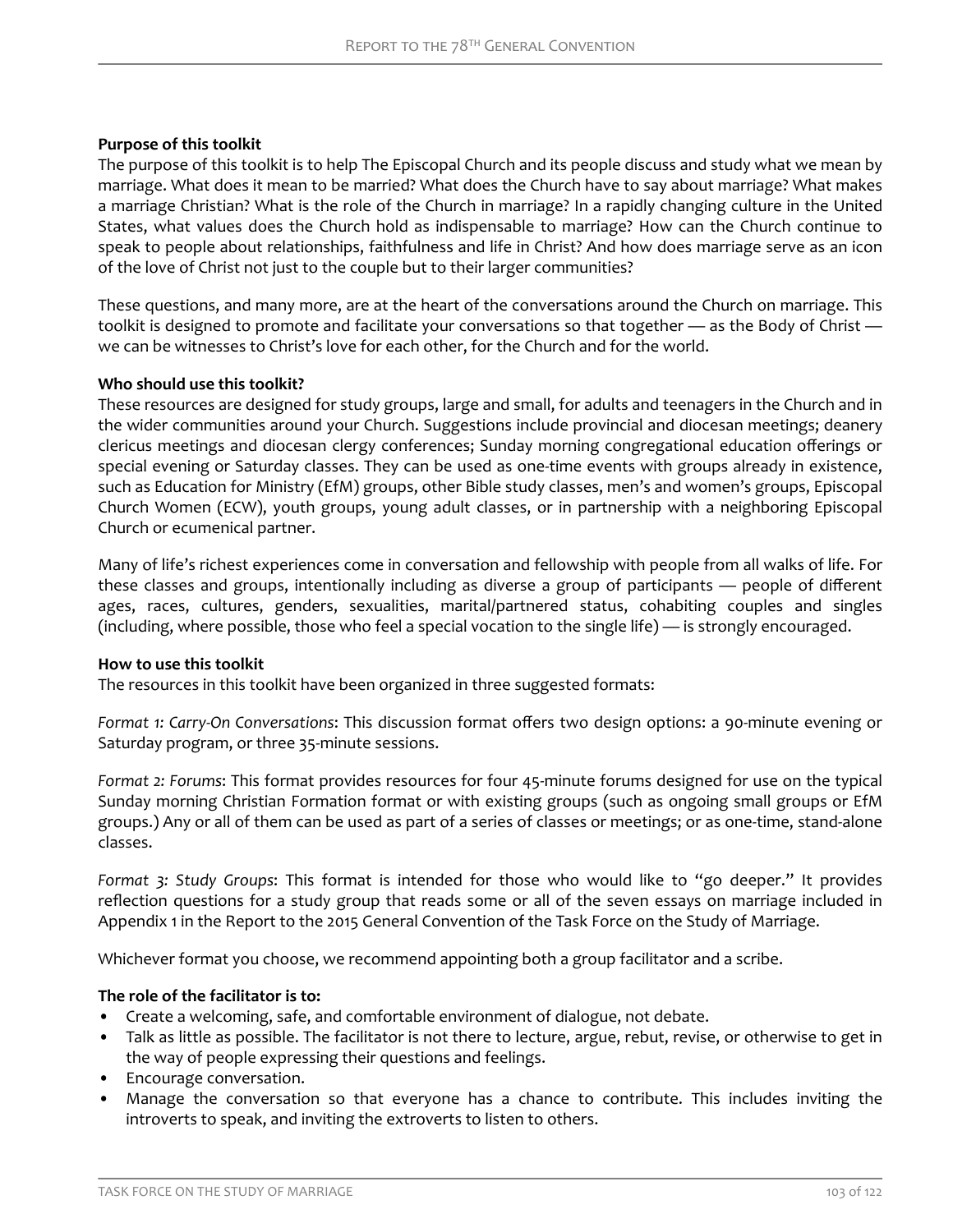## <span id="page-4-0"></span>**Purpose of this toolkit**

The purpose of this toolkit is to help The Episcopal Church and its people discuss and study what we mean by marriage. What does it mean to be married? What does the Church have to say about marriage? What makes a marriage Christian? What is the role of the Church in marriage? In a rapidly changing culture in the United States, what values does the Church hold as indispensable to marriage? How can the Church continue to speak to people about relationships, faithfulness and life in Christ? And how does marriage serve as an icon of the love of Christ not just to the couple but to their larger communities?

These questions, and many more, are at the heart of the conversations around the Church on marriage. This toolkit is designed to promote and facilitate your conversations so that together — as the Body of Christ we can be witnesses to Christ's love for each other, for the Church and for the world.

# **Who should use this toolkit?**

These resources are designed for study groups, large and small, for adults and teenagers in the Church and in the wider communities around your Church. Suggestions include provincial and diocesan meetings; deanery clericus meetings and diocesan clergy conferences; Sunday morning congregational education offerings or special evening or Saturday classes. They can be used as one-time events with groups already in existence, such as Education for Ministry (EfM) groups, other Bible study classes, men's and women's groups, Episcopal Church Women (ECW), youth groups, young adult classes, or in partnership with a neighboring Episcopal Church or ecumenical partner.

Many of life's richest experiences come in conversation and fellowship with people from all walks of life. For these classes and groups, intentionally including as diverse a group of participants — people of different ages, races, cultures, genders, sexualities, marital/partnered status, cohabiting couples and singles (including, where possible, those who feel a special vocation to the single life) — is strongly encouraged.

### **How to use this toolkit**

The resources in this toolkit have been organized in three suggested formats:

*Format 1: Carry-On Conversations*: This discussion format offers two design options: a 90-minute evening or Saturday program, or three 35-minute sessions.

*Format 2: Forums*: This format provides resources for four 45-minute forums designed for use on the typical Sunday morning Christian Formation format or with existing groups (such as ongoing small groups or EfM groups.) Any or all of them can be used as part of a series of classes or meetings; or as one-time, stand-alone classes.

*Format 3: Study Groups*: This format is intended for those who would like to "go deeper." It provides reflection questions for a study group that reads some or all of the seven essays on marriage included in Appendix 1 in the Report to the 2015 General Convention of the Task Force on the Study of Marriage.

Whichever format you choose, we recommend appointing both a group facilitator and a scribe.

# **The role of the facilitator is to:**

- Create a welcoming, safe, and comfortable environment of dialogue, not debate.
- Talk as little as possible. The facilitator is not there to lecture, argue, rebut, revise, or otherwise to get in the way of people expressing their questions and feelings.
- Encourage conversation.
- Manage the conversation so that everyone has a chance to contribute. This includes inviting the introverts to speak, and inviting the extroverts to listen to others.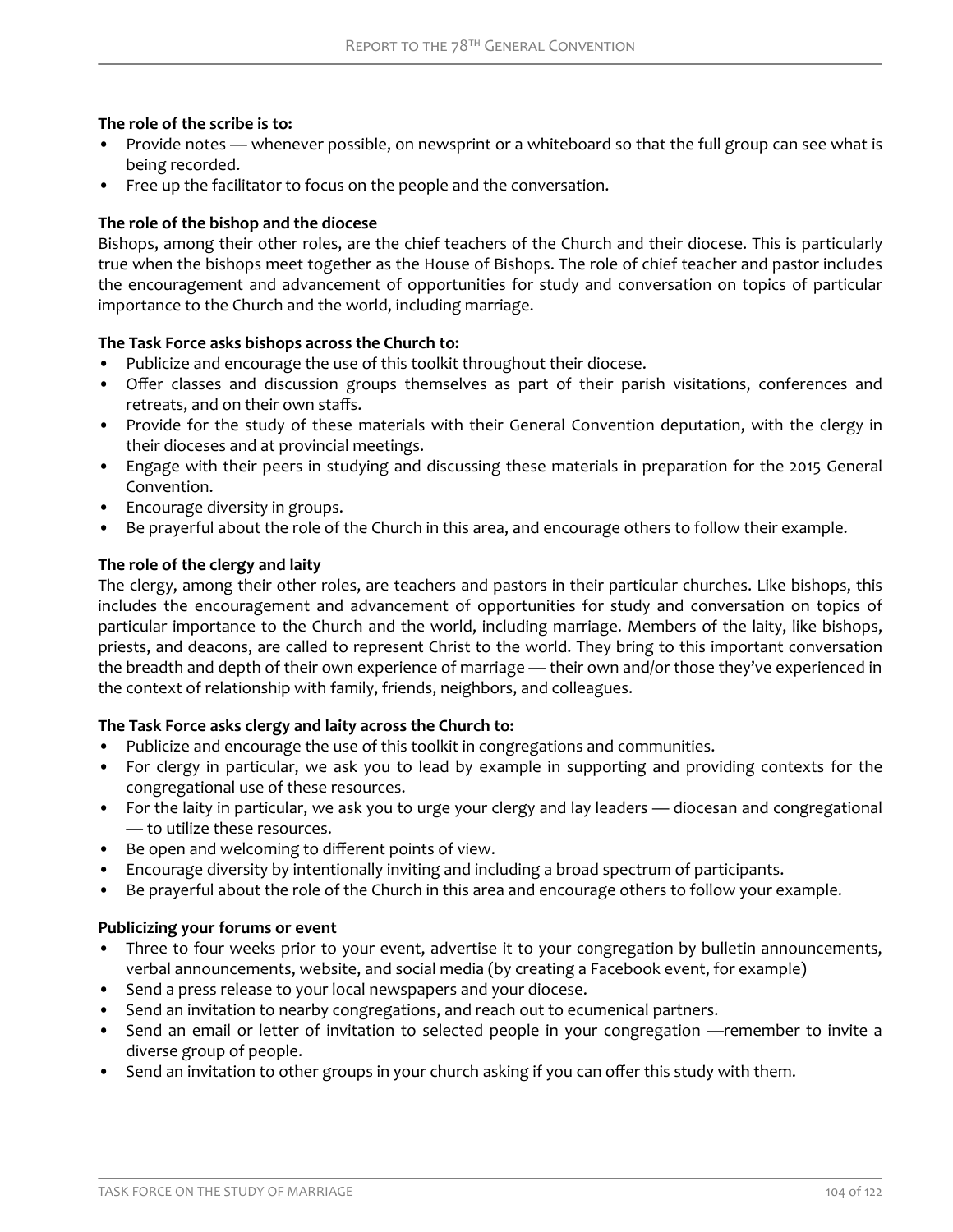## <span id="page-5-0"></span>**The role of the scribe is to:**

- Provide notes whenever possible, on newsprint or a whiteboard so that the full group can see what is being recorded.
- Free up the facilitator to focus on the people and the conversation.

# **The role of the bishop and the diocese**

Bishops, among their other roles, are the chief teachers of the Church and their diocese. This is particularly true when the bishops meet together as the House of Bishops. The role of chief teacher and pastor includes the encouragement and advancement of opportunities for study and conversation on topics of particular importance to the Church and the world, including marriage.

# **The Task Force asks bishops across the Church to:**

- Publicize and encourage the use of this toolkit throughout their diocese.
- Offer classes and discussion groups themselves as part of their parish visitations, conferences and retreats, and on their own staffs.
- Provide for the study of these materials with their General Convention deputation, with the clergy in their dioceses and at provincial meetings.
- Engage with their peers in studying and discussing these materials in preparation for the 2015 General Convention.
- Encourage diversity in groups.
- Be prayerful about the role of the Church in this area, and encourage others to follow their example.

# **The role of the clergy and laity**

The clergy, among their other roles, are teachers and pastors in their particular churches. Like bishops, this includes the encouragement and advancement of opportunities for study and conversation on topics of particular importance to the Church and the world, including marriage. Members of the laity, like bishops, priests, and deacons, are called to represent Christ to the world. They bring to this important conversation the breadth and depth of their own experience of marriage — their own and/or those they've experienced in the context of relationship with family, friends, neighbors, and colleagues.

### **The Task Force asks clergy and laity across the Church to:**

- Publicize and encourage the use of this toolkit in congregations and communities.
- For clergy in particular, we ask you to lead by example in supporting and providing contexts for the congregational use of these resources.
- For the laity in particular, we ask you to urge your clergy and lay leaders diocesan and congregational — to utilize these resources.
- Be open and welcoming to different points of view.
- Encourage diversity by intentionally inviting and including a broad spectrum of participants.
- Be prayerful about the role of the Church in this area and encourage others to follow your example.

### **Publicizing your forums or event**

- Three to four weeks prior to your event, advertise it to your congregation by bulletin announcements, verbal announcements, website, and social media (by creating a Facebook event, for example)
- Send a press release to your local newspapers and your diocese.
- Send an invitation to nearby congregations, and reach out to ecumenical partners.
- Send an email or letter of invitation to selected people in your congregation —remember to invite a diverse group of people.
- Send an invitation to other groups in your church asking if you can offer this study with them.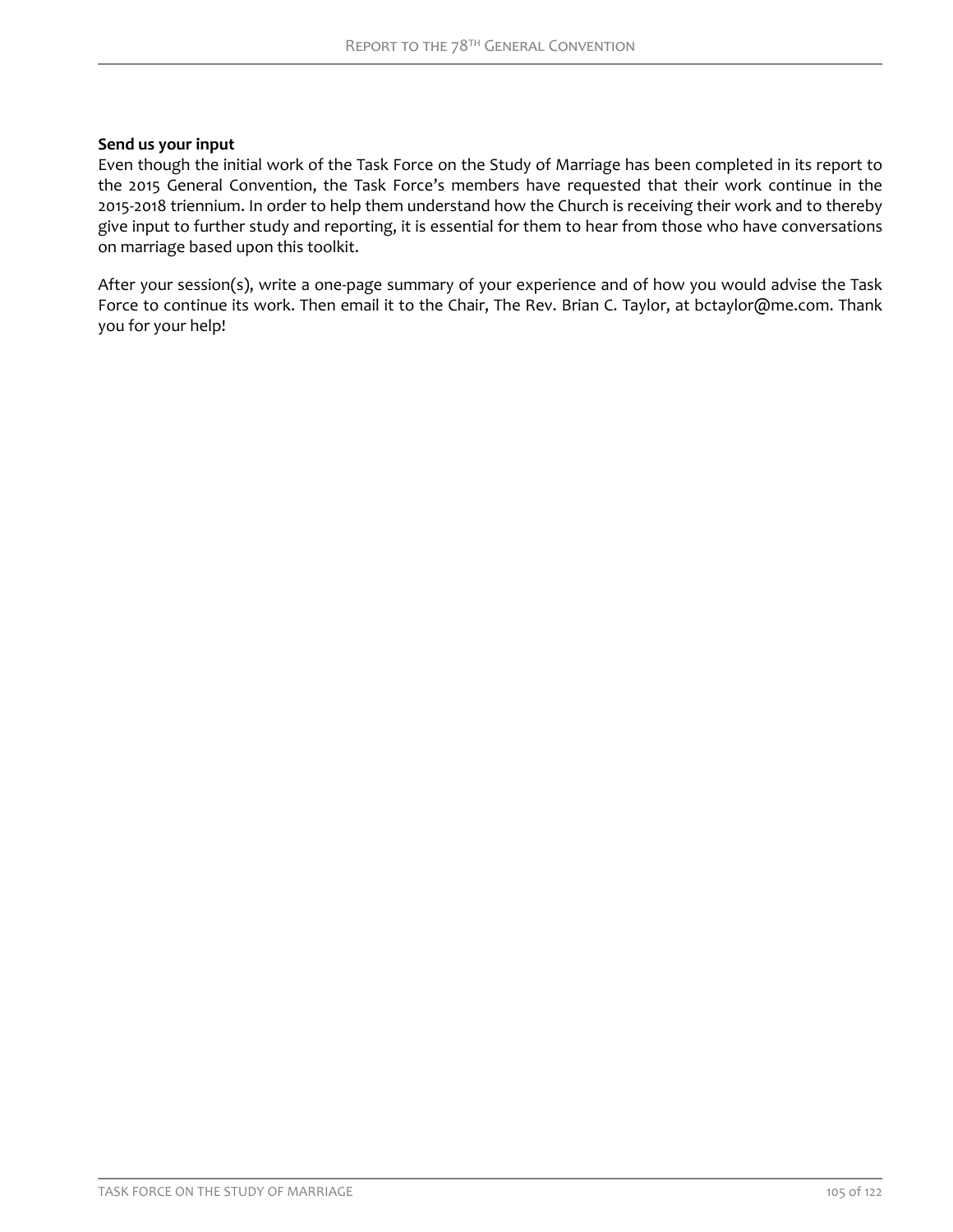### <span id="page-6-0"></span>**Send us your input**

Even though the initial work of the Task Force on the Study of Marriage has been completed in its report to the 2015 General Convention, the Task Force's members have requested that their work continue in the 2015-2018 triennium. In order to help them understand how the Church is receiving their work and to thereby give input to further study and reporting, it is essential for them to hear from those who have conversations on marriage based upon this toolkit.

After your session(s), write a one-page summary of your experience and of how you would advise the Task Force to continue its work. Then email it to the Chair, The Rev. Brian C. Taylor, at bctaylor@me.com. Thank you for your help!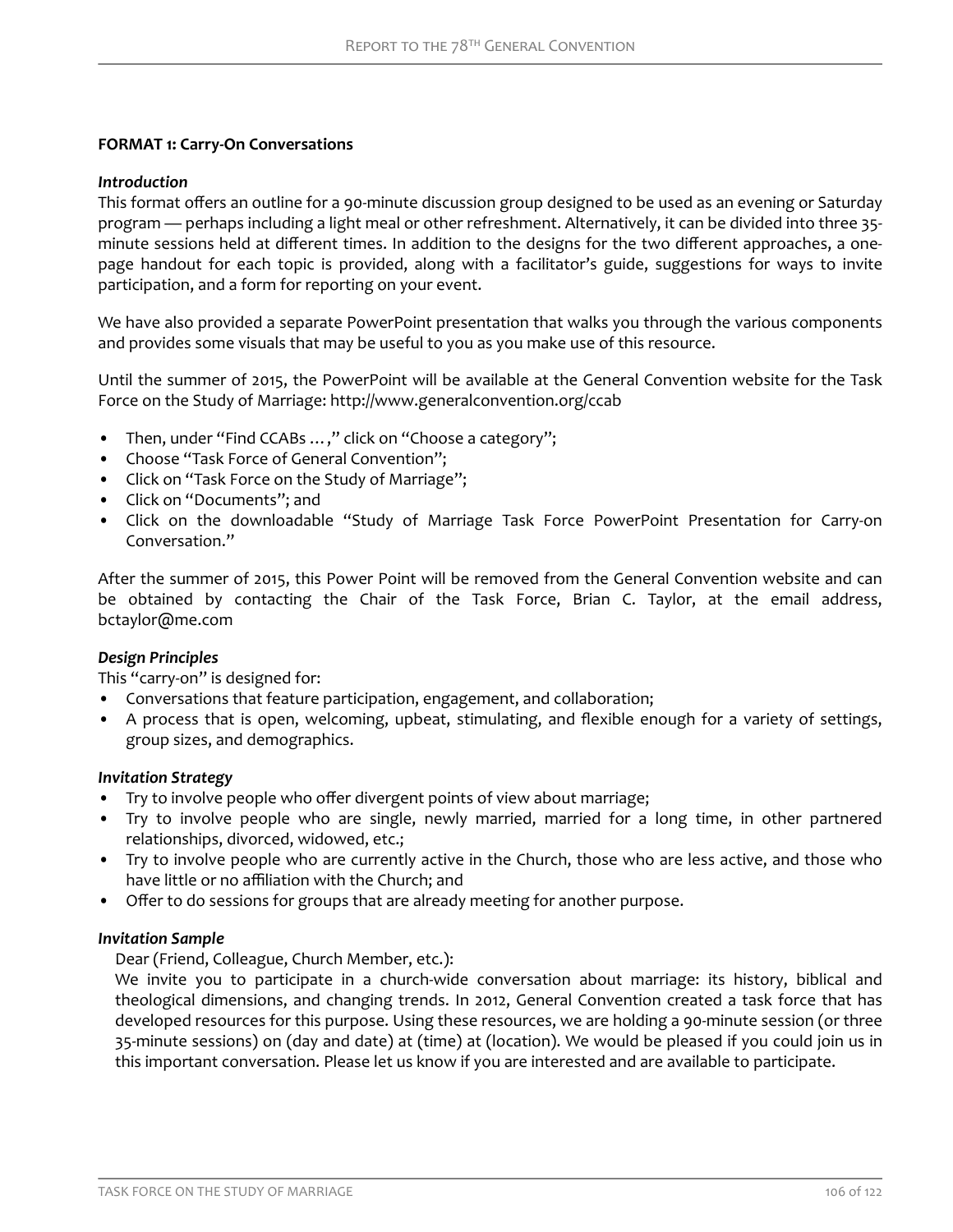# <span id="page-7-0"></span>**FORMAT 1: Carry-On Conversations**

### *Introduction*

This format offers an outline for a 90-minute discussion group designed to be used as an evening or Saturday program — perhaps including a light meal or other refreshment. Alternatively, it can be divided into three 35 minute sessions held at different times. In addition to the designs for the two different approaches, a onepage handout for each topic is provided, along with a facilitator's guide, suggestions for ways to invite participation, and a form for reporting on your event.

We have also provided a separate PowerPoint presentation that walks you through the various components and provides some visuals that may be useful to you as you make use of this resource.

Until the summer of 2015, the PowerPoint will be available at the General Convention website for the Task Force on the Study of Marriage: http://www.generalconvention.org/ccab

- Then, under "Find CCABs ...," click on "Choose a category";
- Choose "Task Force of General Convention";
- Click on "Task Force on the Study of Marriage";
- Click on "Documents"; and
- Click on the downloadable "Study of Marriage Task Force PowerPoint Presentation for Carry-on Conversation."

After the summer of 2015, this Power Point will be removed from the General Convention website and can be obtained by contacting the Chair of the Task Force, Brian C. Taylor, at the email address, bctaylor@me.com

### *Design Principles*

This "carry-on" is designed for:

- Conversations that feature participation, engagement, and collaboration;
- A process that is open, welcoming, upbeat, stimulating, and flexible enough for a variety of settings, group sizes, and demographics.

# *Invitation Strategy*

- Try to involve people who offer divergent points of view about marriage;
- Try to involve people who are single, newly married, married for a long time, in other partnered relationships, divorced, widowed, etc.;
- Try to involve people who are currently active in the Church, those who are less active, and those who have little or no affiliation with the Church; and
- Offer to do sessions for groups that are already meeting for another purpose.

### *Invitation Sample*

Dear (Friend, Colleague, Church Member, etc.):

We invite you to participate in a church-wide conversation about marriage: its history, biblical and theological dimensions, and changing trends. In 2012, General Convention created a task force that has developed resources for this purpose. Using these resources, we are holding a 90-minute session (or three 35-minute sessions) on (day and date) at (time) at (location). We would be pleased if you could join us in this important conversation. Please let us know if you are interested and are available to participate.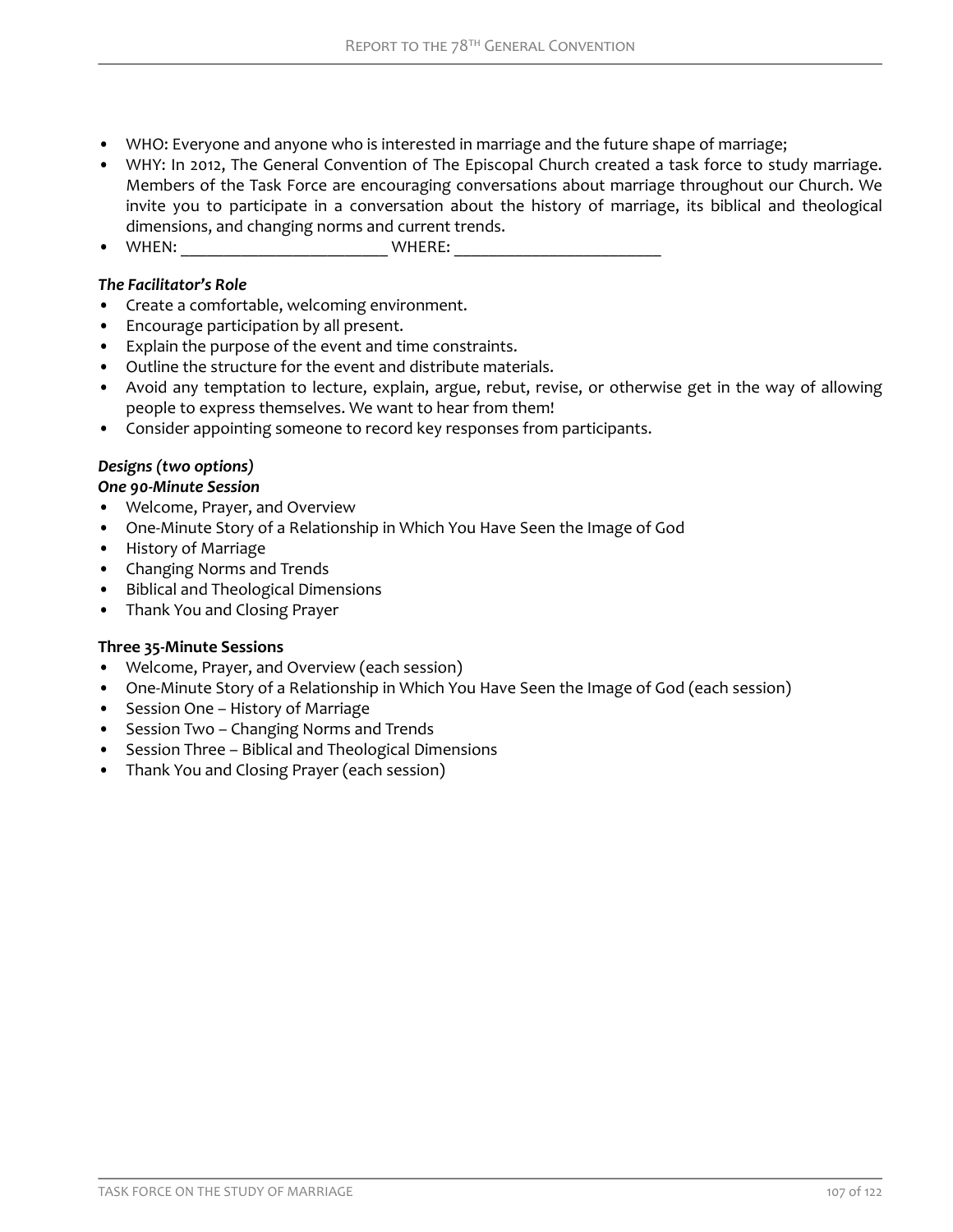- WHO: Everyone and anyone who is interested in marriage and the future shape of marriage;
- WHY: In 2012, The General Convention of The Episcopal Church created a task force to study marriage. Members of the Task Force are encouraging conversations about marriage throughout our Church. We invite you to participate in a conversation about the history of marriage, its biblical and theological dimensions, and changing norms and current trends.
- $\bullet$  WHEN:  $\bullet$  WHERE:

# *The Facilitator's Role*

- Create a comfortable, welcoming environment.
- Encourage participation by all present.
- Explain the purpose of the event and time constraints.
- Outline the structure for the event and distribute materials.
- Avoid any temptation to lecture, explain, argue, rebut, revise, or otherwise get in the way of allowing people to express themselves. We want to hear from them!
- Consider appointing someone to record key responses from participants.

# *Designs (two options)*

### *One 90-Minute Session*

- Welcome, Prayer, and Overview
- One-Minute Story of a Relationship in Which You Have Seen the Image of God
- History of Marriage
- Changing Norms and Trends
- Biblical and Theological Dimensions
- Thank You and Closing Prayer

### **Three 35-Minute Sessions**

- Welcome, Prayer, and Overview (each session)
- One-Minute Story of a Relationship in Which You Have Seen the Image of God (each session)
- Session One History of Marriage
- Session Two Changing Norms and Trends
- Session Three Biblical and Theological Dimensions
- Thank You and Closing Prayer (each session)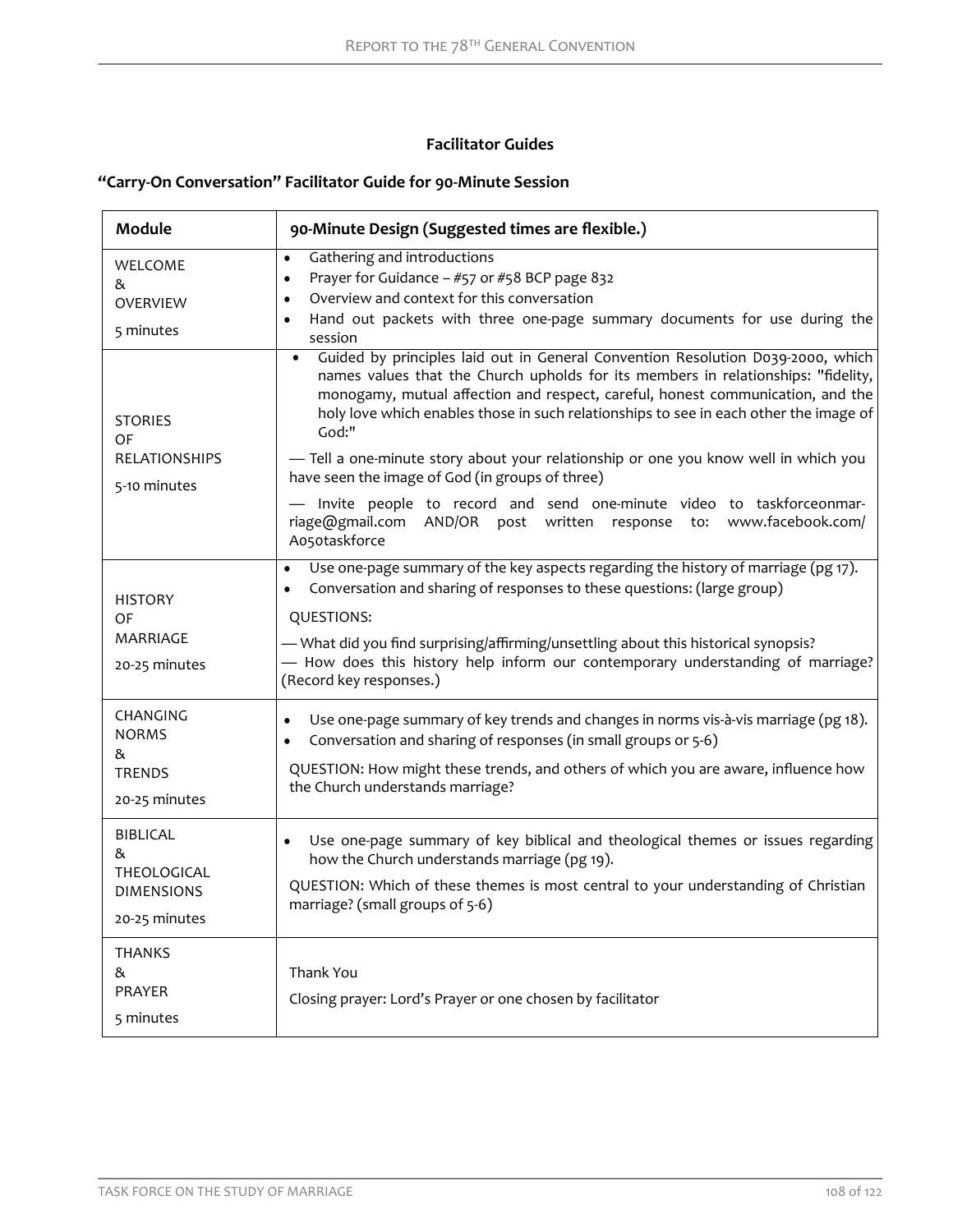# **Facilitator Guides**

# <span id="page-9-0"></span>**"Carry-On Conversation" Facilitator Guide for 90-Minute Session**

| <b>Module</b>                                                                                                | 90-Minute Design (Suggested times are flexible.)                                                                                                                                                                                                                                                                                                                                                                                                                                                                                                                                                                                                                                                                                                                                          |  |  |  |  |
|--------------------------------------------------------------------------------------------------------------|-------------------------------------------------------------------------------------------------------------------------------------------------------------------------------------------------------------------------------------------------------------------------------------------------------------------------------------------------------------------------------------------------------------------------------------------------------------------------------------------------------------------------------------------------------------------------------------------------------------------------------------------------------------------------------------------------------------------------------------------------------------------------------------------|--|--|--|--|
| WELCOME<br>&<br><b>OVERVIEW</b><br>5 minutes<br><b>STORIES</b><br>OF<br><b>RELATIONSHIPS</b><br>5-10 minutes | Gathering and introductions<br>$\bullet$<br>Prayer for Guidance - #57 or #58 BCP page 832<br>$\bullet$<br>Overview and context for this conversation<br>$\bullet$<br>Hand out packets with three one-page summary documents for use during the<br>$\bullet$<br>session<br>Guided by principles laid out in General Convention Resolution D039-2000, which<br>$\bullet$<br>names values that the Church upholds for its members in relationships: "fidelity,<br>monogamy, mutual affection and respect, careful, honest communication, and the<br>holy love which enables those in such relationships to see in each other the image of<br>God:"<br>- Tell a one-minute story about your relationship or one you know well in which you<br>have seen the image of God (in groups of three) |  |  |  |  |
|                                                                                                              | - Invite people to record and send one-minute video to taskforceonmar-<br>riage@gmail.com AND/OR post written response to:<br>www.facebook.com/<br>Ao5otaskforce                                                                                                                                                                                                                                                                                                                                                                                                                                                                                                                                                                                                                          |  |  |  |  |
| <b>HISTORY</b><br>OF<br>MARRIAGE<br>20-25 minutes                                                            | Use one-page summary of the key aspects regarding the history of marriage (pg 17).<br>$\bullet$<br>Conversation and sharing of responses to these questions: (large group)<br>$\bullet$<br>QUESTIONS:<br>- What did you find surprising/affirming/unsettling about this historical synopsis?<br>- How does this history help inform our contemporary understanding of marriage?<br>(Record key responses.)                                                                                                                                                                                                                                                                                                                                                                                |  |  |  |  |
| CHANGING<br><b>NORMS</b><br>&<br><b>TRENDS</b><br>20-25 minutes                                              | Use one-page summary of key trends and changes in norms vis-à-vis marriage (pg 18).<br>$\bullet$<br>Conversation and sharing of responses (in small groups or 5-6)<br>$\bullet$<br>QUESTION: How might these trends, and others of which you are aware, influence how<br>the Church understands marriage?                                                                                                                                                                                                                                                                                                                                                                                                                                                                                 |  |  |  |  |
| BIBLICAL<br>&<br>THEOLOGICAL<br><b>DIMENSIONS</b><br>20-25 minutes                                           | Use one-page summary of key biblical and theological themes or issues regarding<br>$\bullet$<br>how the Church understands marriage (pg 19).<br>QUESTION: Which of these themes is most central to your understanding of Christian<br>marriage? (small groups of 5-6)                                                                                                                                                                                                                                                                                                                                                                                                                                                                                                                     |  |  |  |  |
| <b>THANKS</b><br>&<br>PRAYER<br>5 minutes                                                                    | Thank You<br>Closing prayer: Lord's Prayer or one chosen by facilitator                                                                                                                                                                                                                                                                                                                                                                                                                                                                                                                                                                                                                                                                                                                   |  |  |  |  |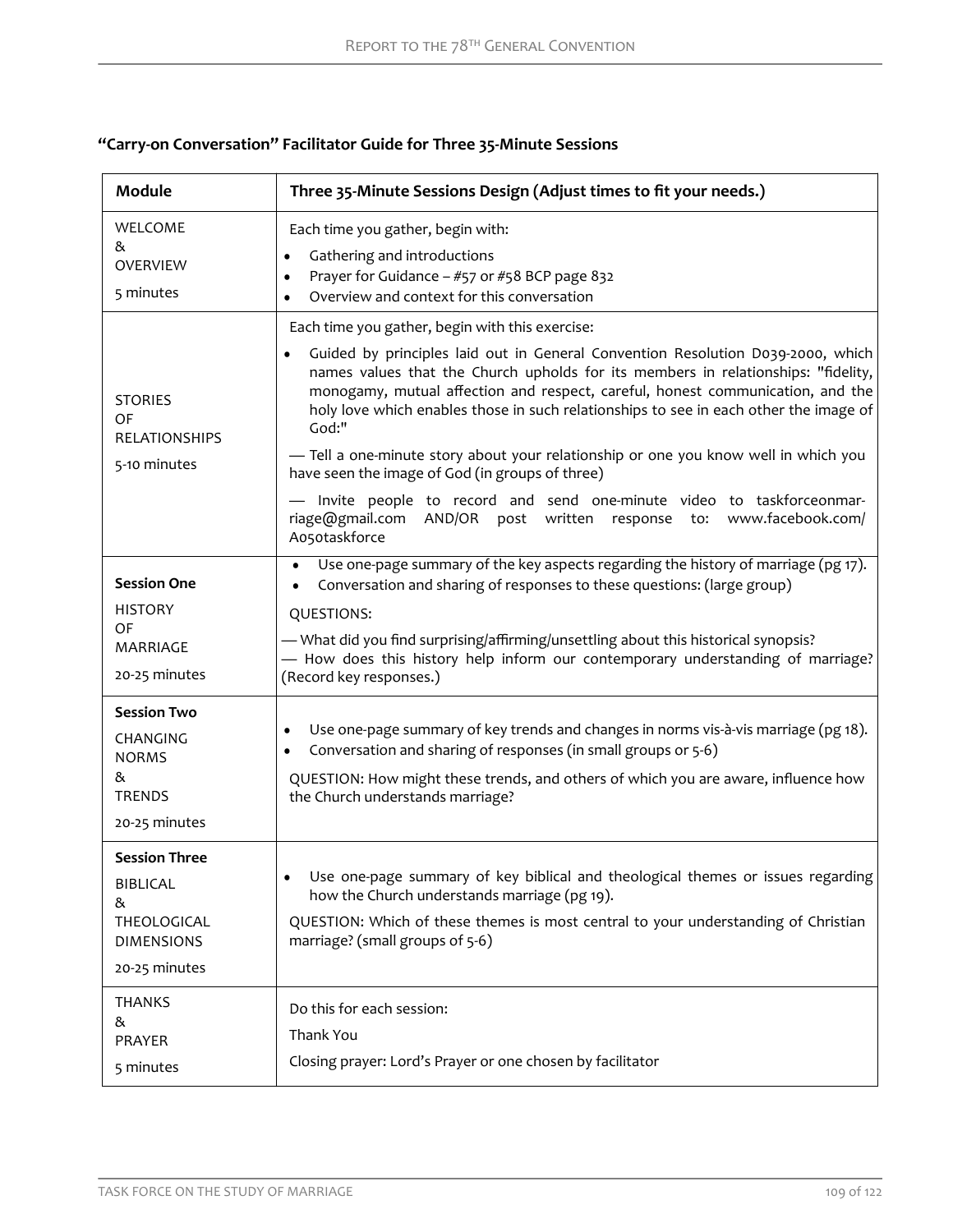# **"Carry-on Conversation" Facilitator Guide for Three 35-Minute Sessions**

| Module                                                                                                             | Three 35-Minute Sessions Design (Adjust times to fit your needs.)                                                                                                                                                                                                                                                                                                                                                                                                                                                                                                                                                                                                                                                                         |  |  |  |  |
|--------------------------------------------------------------------------------------------------------------------|-------------------------------------------------------------------------------------------------------------------------------------------------------------------------------------------------------------------------------------------------------------------------------------------------------------------------------------------------------------------------------------------------------------------------------------------------------------------------------------------------------------------------------------------------------------------------------------------------------------------------------------------------------------------------------------------------------------------------------------------|--|--|--|--|
| WELCOME<br>&<br><b>OVERVIEW</b><br>5 minutes                                                                       | Each time you gather, begin with:<br>Gathering and introductions<br>$\bullet$<br>Prayer for Guidance - #57 or #58 BCP page 832<br>Overview and context for this conversation                                                                                                                                                                                                                                                                                                                                                                                                                                                                                                                                                              |  |  |  |  |
| <b>STORIES</b><br>OF<br><b>RELATIONSHIPS</b><br>5-10 minutes                                                       | Each time you gather, begin with this exercise:<br>Guided by principles laid out in General Convention Resolution D039-2000, which<br>$\bullet$<br>names values that the Church upholds for its members in relationships: "fidelity,<br>monogamy, mutual affection and respect, careful, honest communication, and the<br>holy love which enables those in such relationships to see in each other the image of<br>God:"<br>- Tell a one-minute story about your relationship or one you know well in which you<br>have seen the image of God (in groups of three)<br>- Invite people to record and send one-minute video to taskforceonmar-<br>www.facebook.com/<br>riage@gmail.com AND/OR post written response<br>to:<br>Ao5otaskforce |  |  |  |  |
| <b>Session One</b><br><b>HISTORY</b><br>OF<br><b>MARRIAGE</b><br>20-25 minutes                                     | Use one-page summary of the key aspects regarding the history of marriage (pg 17).<br>Conversation and sharing of responses to these questions: (large group)<br>QUESTIONS:<br>- What did you find surprising/affirming/unsettling about this historical synopsis?<br>- How does this history help inform our contemporary understanding of marriage?<br>(Record key responses.)                                                                                                                                                                                                                                                                                                                                                          |  |  |  |  |
| <b>Session Two</b><br>CHANGING<br><b>NORMS</b><br>&<br><b>TRENDS</b><br>20-25 minutes                              | Use one-page summary of key trends and changes in norms vis-à-vis marriage (pg 18).<br>$\bullet$<br>Conversation and sharing of responses (in small groups or 5-6)<br>$\bullet$<br>QUESTION: How might these trends, and others of which you are aware, influence how<br>the Church understands marriage?                                                                                                                                                                                                                                                                                                                                                                                                                                 |  |  |  |  |
| <b>Session Three</b><br><b>BIBLICAL</b><br>&<br>THEOLOGICAL<br><b>DIMENSIONS</b><br>20-25 minutes<br><b>THANKS</b> | Use one-page summary of key biblical and theological themes or issues regarding<br>how the Church understands marriage (pg 19).<br>QUESTION: Which of these themes is most central to your understanding of Christian<br>marriage? (small groups of 5-6)<br>Do this for each session:                                                                                                                                                                                                                                                                                                                                                                                                                                                     |  |  |  |  |
| &<br>PRAYER<br>5 minutes                                                                                           | Thank You<br>Closing prayer: Lord's Prayer or one chosen by facilitator                                                                                                                                                                                                                                                                                                                                                                                                                                                                                                                                                                                                                                                                   |  |  |  |  |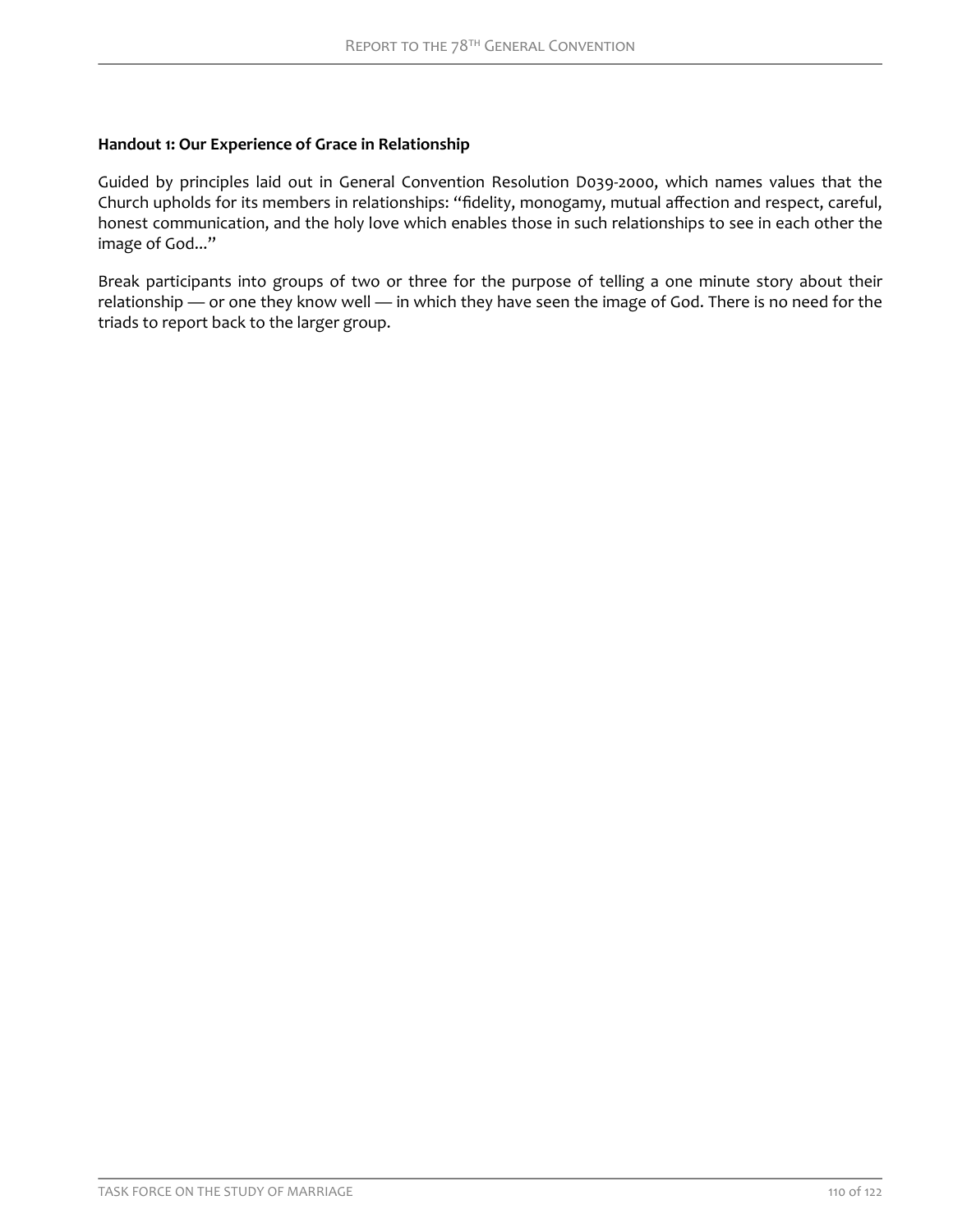### <span id="page-11-0"></span>**Handout 1: Our Experience of Grace in Relationship**

Guided by principles laid out in General Convention Resolution D039-2000, which names values that the Church upholds for its members in relationships: "fidelity, monogamy, mutual affection and respect, careful, honest communication, and the holy love which enables those in such relationships to see in each other the image of God..."

Break participants into groups of two or three for the purpose of telling a one minute story about their relationship — or one they know well — in which they have seen the image of God. There is no need for the triads to report back to the larger group.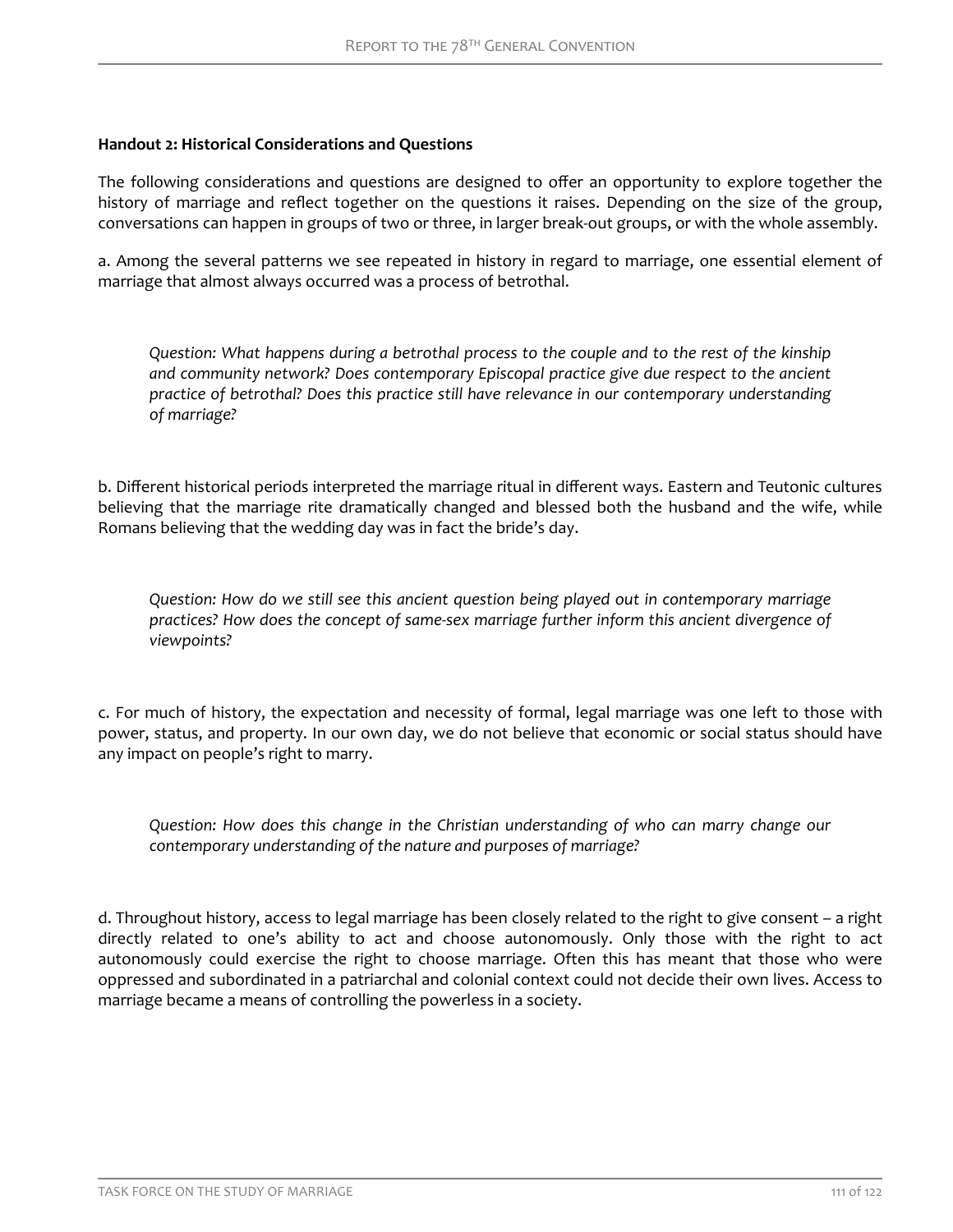### <span id="page-12-0"></span>**Handout 2: Historical Considerations and Questions**

The following considerations and questions are designed to offer an opportunity to explore together the history of marriage and reflect together on the questions it raises. Depending on the size of the group, conversations can happen in groups of two or three, in larger break-out groups, or with the whole assembly.

a. Among the several patterns we see repeated in history in regard to marriage, one essential element of marriage that almost always occurred was a process of betrothal.

*Question: What happens during a betrothal process to the couple and to the rest of the kinship and community network? Does contemporary Episcopal practice give due respect to the ancient practice of betrothal? Does this practice still have relevance in our contemporary understanding of marriage?*

b. Different historical periods interpreted the marriage ritual in different ways. Eastern and Teutonic cultures believing that the marriage rite dramatically changed and blessed both the husband and the wife, while Romans believing that the wedding day was in fact the bride's day.

*Question: How do we still see this ancient question being played out in contemporary marriage practices? How does the concept of same-sex marriage further inform this ancient divergence of viewpoints?*

c. For much of history, the expectation and necessity of formal, legal marriage was one left to those with power, status, and property. In our own day, we do not believe that economic or social status should have any impact on people's right to marry.

*Question: How does this change in the Christian understanding of who can marry change our contemporary understanding of the nature and purposes of marriage?*

d. Throughout history, access to legal marriage has been closely related to the right to give consent – a right directly related to one's ability to act and choose autonomously. Only those with the right to act autonomously could exercise the right to choose marriage. Often this has meant that those who were oppressed and subordinated in a patriarchal and colonial context could not decide their own lives. Access to marriage became a means of controlling the powerless in a society.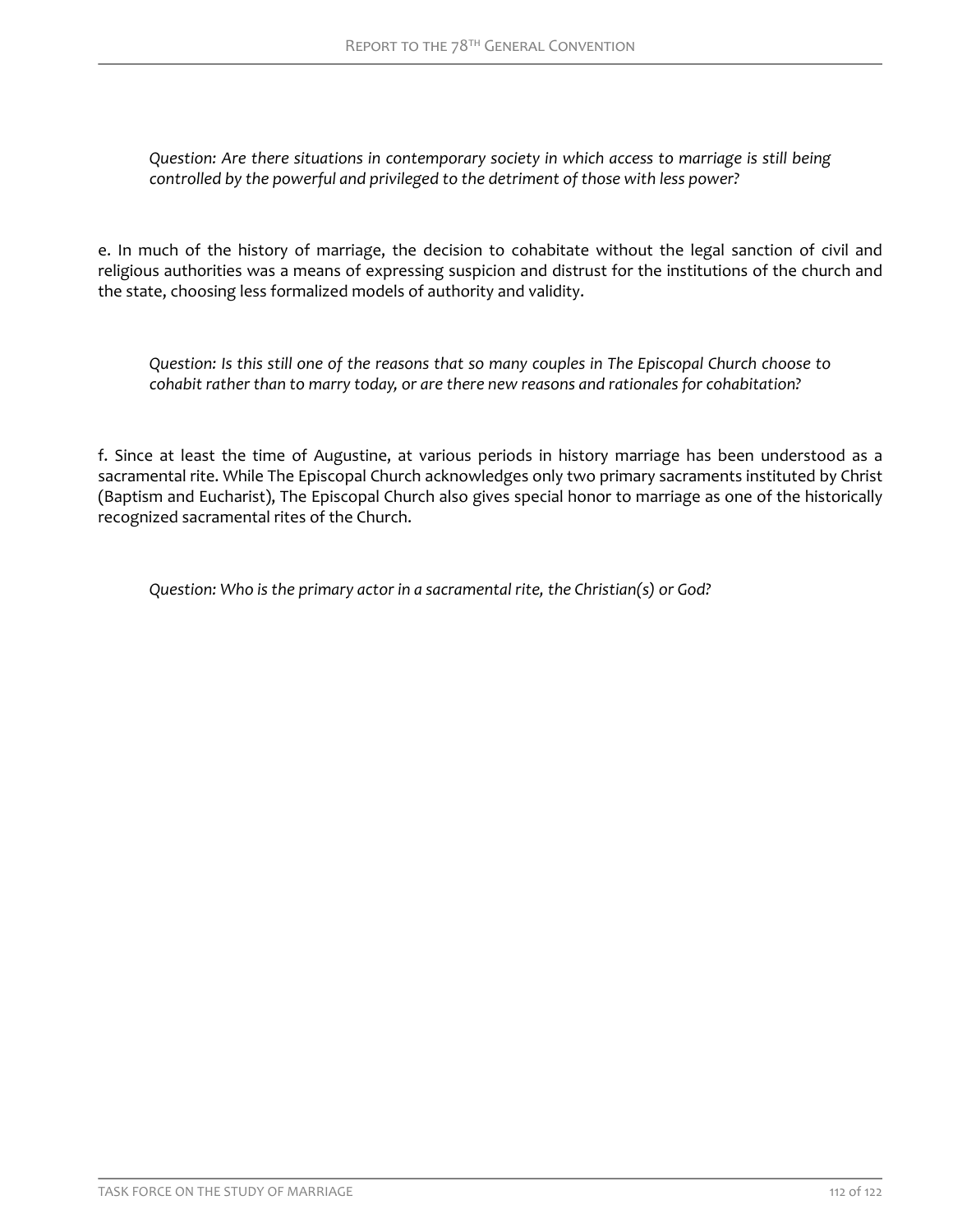*Question: Are there situations in contemporary society in which access to marriage is still being controlled by the powerful and privileged to the detriment of those with less power?*

e. In much of the history of marriage, the decision to cohabitate without the legal sanction of civil and religious authorities was a means of expressing suspicion and distrust for the institutions of the church and the state, choosing less formalized models of authority and validity.

*Question: Is this still one of the reasons that so many couples in The Episcopal Church choose to cohabit rather than to marry today, or are there new reasons and rationales for cohabitation?*

f. Since at least the time of Augustine, at various periods in history marriage has been understood as a sacramental rite. While The Episcopal Church acknowledges only two primary sacraments instituted by Christ (Baptism and Eucharist), The Episcopal Church also gives special honor to marriage as one of the historically recognized sacramental rites of the Church.

*Question: Who is the primary actor in a sacramental rite, the Christian(s) or God?*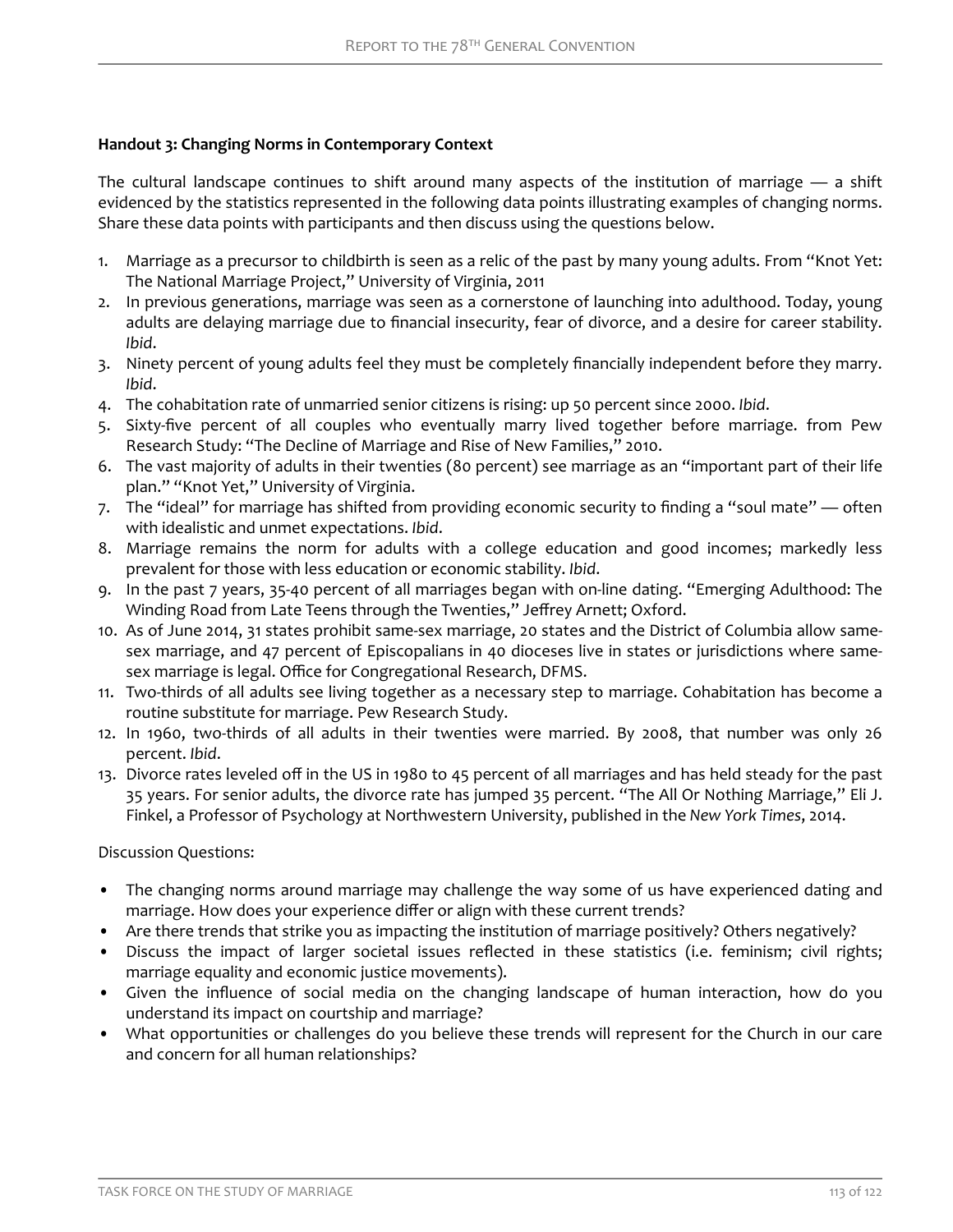# <span id="page-14-0"></span>**Handout 3: Changing Norms in Contemporary Context**

The cultural landscape continues to shift around many aspects of the institution of marriage — a shift evidenced by the statistics represented in the following data points illustrating examples of changing norms. Share these data points with participants and then discuss using the questions below.

- 1. Marriage as a precursor to childbirth is seen as a relic of the past by many young adults. From "Knot Yet: The National Marriage Project," University of Virginia, 2011
- 2. In previous generations, marriage was seen as a cornerstone of launching into adulthood. Today, young adults are delaying marriage due to financial insecurity, fear of divorce, and a desire for career stability. *Ibid*.
- 3. Ninety percent of young adults feel they must be completely financially independent before they marry. *Ibid*.
- 4. The cohabitation rate of unmarried senior citizens is rising: up 50 percent since 2000. *Ibid*.
- 5. Sixty-five percent of all couples who eventually marry lived together before marriage. from Pew Research Study: "The Decline of Marriage and Rise of New Families," 2010.
- 6. The vast majority of adults in their twenties (80 percent) see marriage as an "important part of their life plan." "Knot Yet," University of Virginia.
- 7. The "ideal" for marriage has shifted from providing economic security to finding a "soul mate" often with idealistic and unmet expectations. *Ibid*.
- 8. Marriage remains the norm for adults with a college education and good incomes; markedly less prevalent for those with less education or economic stability. *Ibid*.
- 9. In the past 7 years, 35-40 percent of all marriages began with on-line dating. "Emerging Adulthood: The Winding Road from Late Teens through the Twenties," Jeffrey Arnett; Oxford.
- 10. As of June 2014, 31 states prohibit same-sex marriage, 20 states and the District of Columbia allow samesex marriage, and 47 percent of Episcopalians in 40 dioceses live in states or jurisdictions where samesex marriage is legal. Office for Congregational Research, DFMS.
- 11. Two-thirds of all adults see living together as a necessary step to marriage. Cohabitation has become a routine substitute for marriage. Pew Research Study.
- 12. In 1960, two-thirds of all adults in their twenties were married. By 2008, that number was only 26 percent. *Ibid*.
- 13. Divorce rates leveled off in the US in 1980 to 45 percent of all marriages and has held steady for the past 35 years. For senior adults, the divorce rate has jumped 35 percent. "The All Or Nothing Marriage," Eli J. Finkel, a Professor of Psychology at Northwestern University, published in the *New York Times*, 2014.

Discussion Questions:

- The changing norms around marriage may challenge the way some of us have experienced dating and marriage. How does your experience differ or align with these current trends?
- Are there trends that strike you as impacting the institution of marriage positively? Others negatively?
- Discuss the impact of larger societal issues reflected in these statistics (i.e. feminism; civil rights; marriage equality and economic justice movements).
- Given the influence of social media on the changing landscape of human interaction, how do you understand its impact on courtship and marriage?
- What opportunities or challenges do you believe these trends will represent for the Church in our care and concern for all human relationships?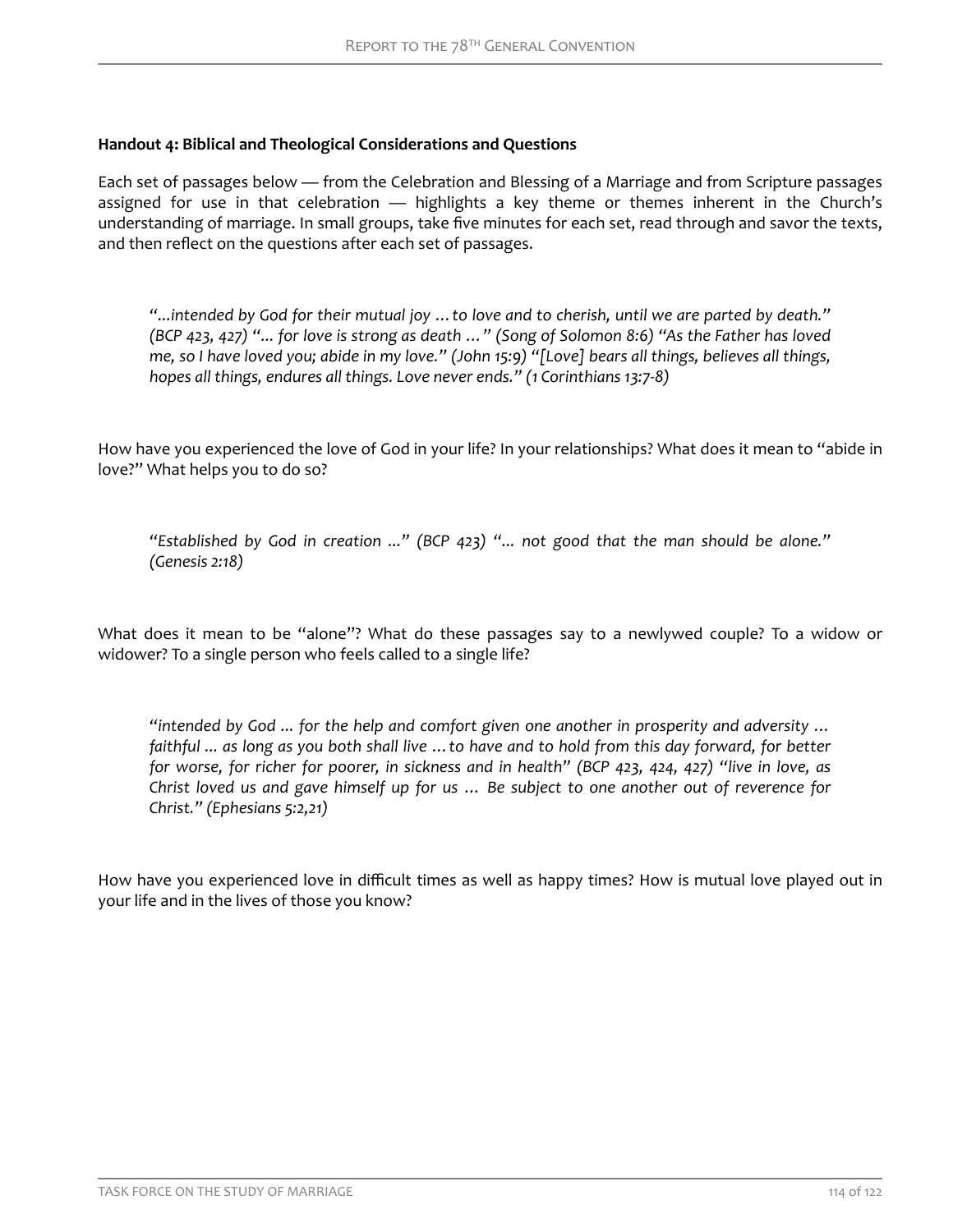# **Handout 4: Biblical and Theological Considerations and Questions**

Each set of passages below — from the Celebration and Blessing of a Marriage and from Scripture passages assigned for use in that celebration — highlights a key theme or themes inherent in the Church's understanding of marriage. In small groups, take five minutes for each set, read through and savor the texts, and then reflect on the questions after each set of passages.

*"...intended by God for their mutual joy …to love and to cherish, until we are parted by death." (BCP 423, 427) "... for love is strong as death …" (Song of Solomon 8:6) "As the Father has loved me, so I have loved you; abide in my love." (John 15:9) "[Love] bears all things, believes all things, hopes all things, endures all things. Love never ends." (1 Corinthians 13:7-8)*

How have you experienced the love of God in your life? In your relationships? What does it mean to "abide in love?" What helps you to do so?

*"Established by God in creation ..." (BCP 423) "... not good that the man should be alone." (Genesis 2:18)*

What does it mean to be "alone"? What do these passages say to a newlywed couple? To a widow or widower? To a single person who feels called to a single life?

*"intended by God ... for the help and comfort given one another in prosperity and adversity … faithful ... as long as you both shall live …to have and to hold from this day forward, for better for worse, for richer for poorer, in sickness and in health" (BCP 423, 424, 427) "live in love, as Christ loved us and gave himself up for us … Be subject to one another out of reverence for Christ." (Ephesians 5:2,21)*

How have you experienced love in difficult times as well as happy times? How is mutual love played out in your life and in the lives of those you know?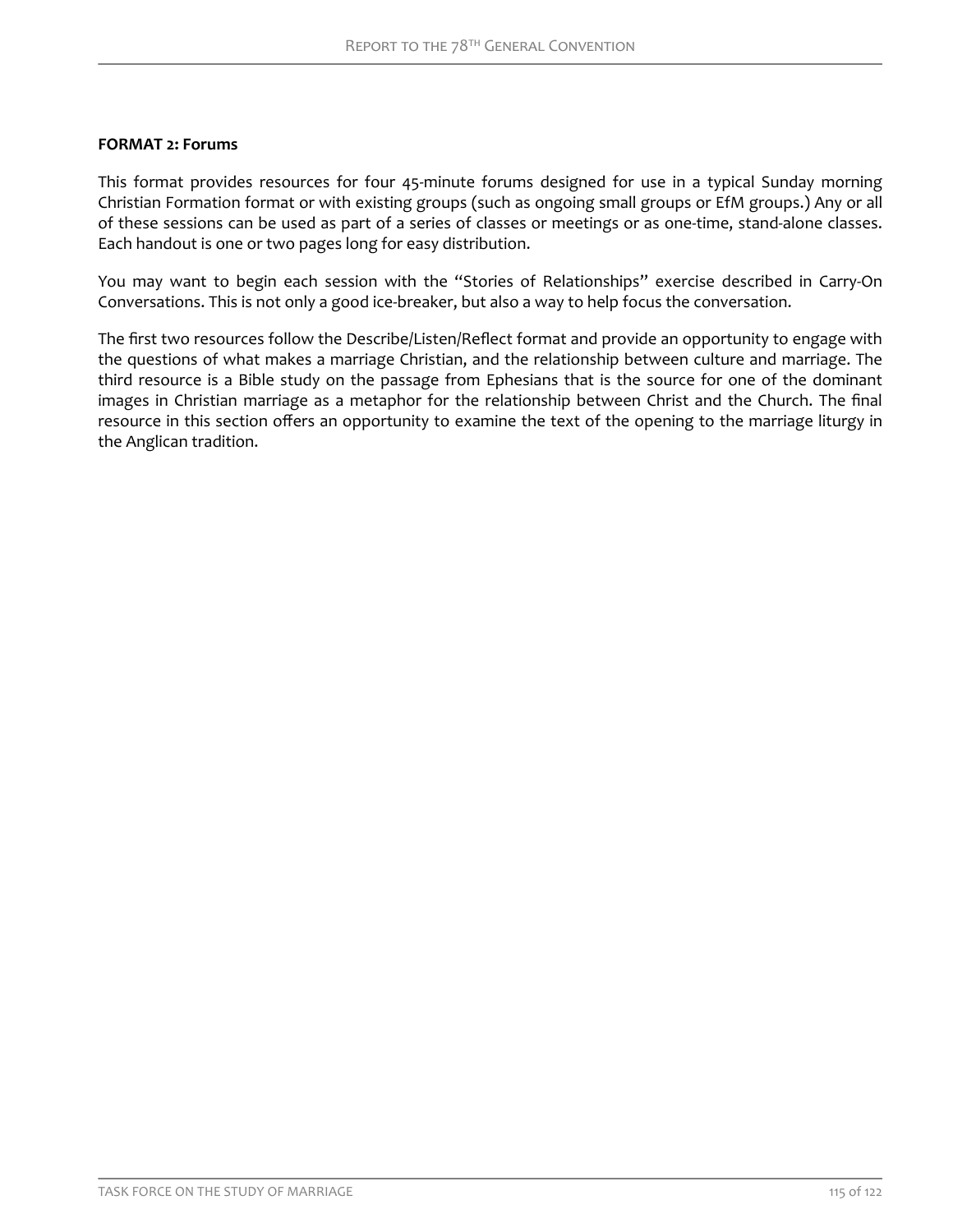## <span id="page-16-0"></span>**FORMAT 2: Forums**

This format provides resources for four 45-minute forums designed for use in a typical Sunday morning Christian Formation format or with existing groups (such as ongoing small groups or EfM groups.) Any or all of these sessions can be used as part of a series of classes or meetings or as one-time, stand-alone classes. Each handout is one or two pages long for easy distribution.

You may want to begin each session with the "Stories of Relationships" exercise described in Carry-On Conversations. This is not only a good ice-breaker, but also a way to help focus the conversation.

The first two resources follow the Describe/Listen/Reflect format and provide an opportunity to engage with the questions of what makes a marriage Christian, and the relationship between culture and marriage. The third resource is a Bible study on the passage from Ephesians that is the source for one of the dominant images in Christian marriage as a metaphor for the relationship between Christ and the Church. The final resource in this section offers an opportunity to examine the text of the opening to the marriage liturgy in the Anglican tradition.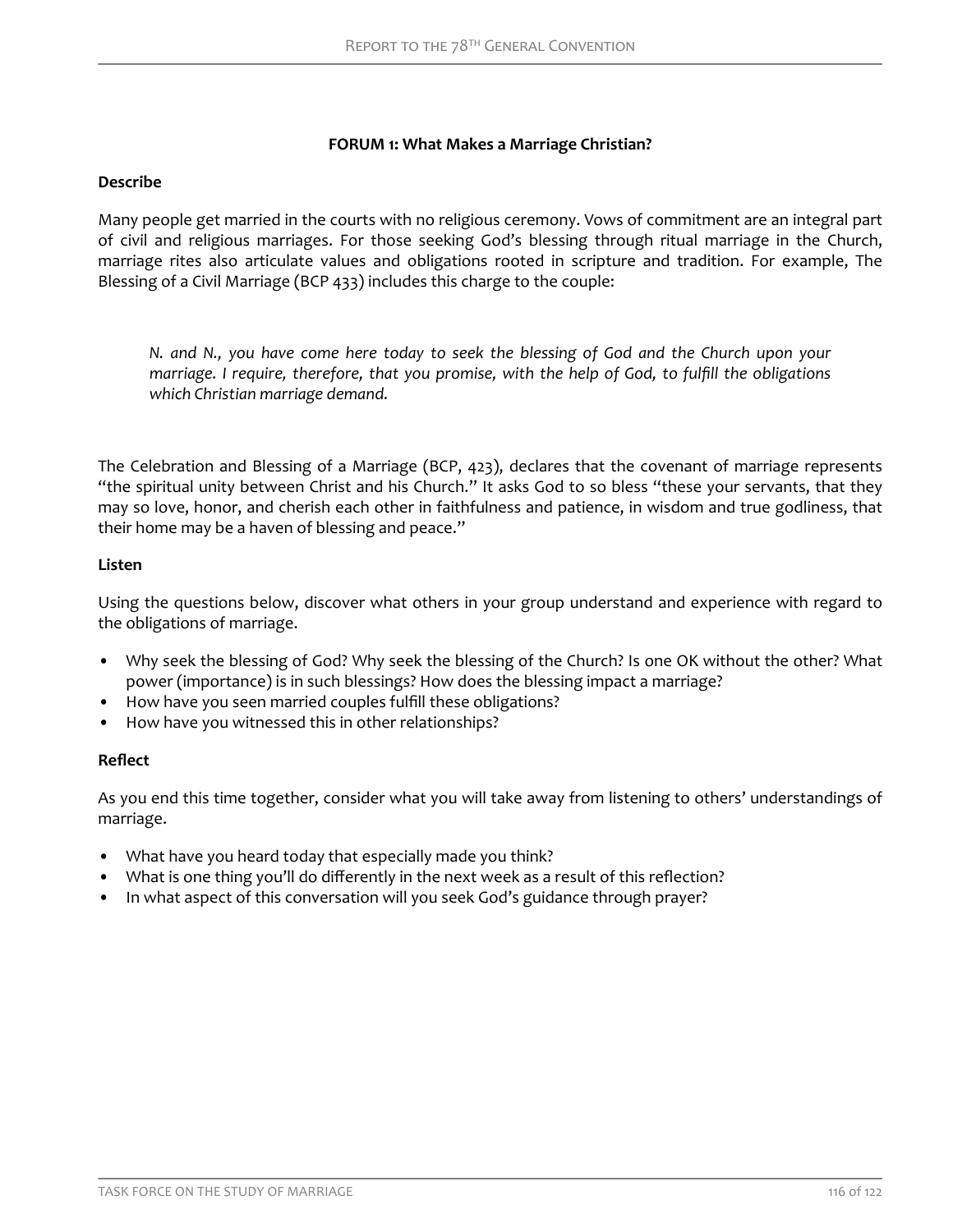### **FORUM 1: What Makes a Marriage Christian?**

### <span id="page-17-0"></span>**Describe**

Many people get married in the courts with no religious ceremony. Vows of commitment are an integral part of civil and religious marriages. For those seeking God's blessing through ritual marriage in the Church, marriage rites also articulate values and obligations rooted in scripture and tradition. For example, The Blessing of a Civil Marriage (BCP 433) includes this charge to the couple:

*N. and N., you have come here today to seek the blessing of God and the Church upon your* marriage. I require, therefore, that you promise, with the help of God, to fulfill the obligations *which Christian marriage demand.*

The Celebration and Blessing of a Marriage (BCP, 423), declares that the covenant of marriage represents "the spiritual unity between Christ and his Church." It asks God to so bless "these your servants, that they may so love, honor, and cherish each other in faithfulness and patience, in wisdom and true godliness, that their home may be a haven of blessing and peace."

### **Listen**

Using the questions below, discover what others in your group understand and experience with regard to the obligations of marriage.

- Why seek the blessing of God? Why seek the blessing of the Church? Is one OK without the other? What power (importance) is in such blessings? How does the blessing impact a marriage?
- How have you seen married couples fulfill these obligations?
- How have you witnessed this in other relationships?

### **Reflect**

As you end this time together, consider what you will take away from listening to others' understandings of marriage.

- What have you heard today that especially made you think?
- What is one thing you'll do differently in the next week as a result of this reflection?
- In what aspect of this conversation will you seek God's guidance through prayer?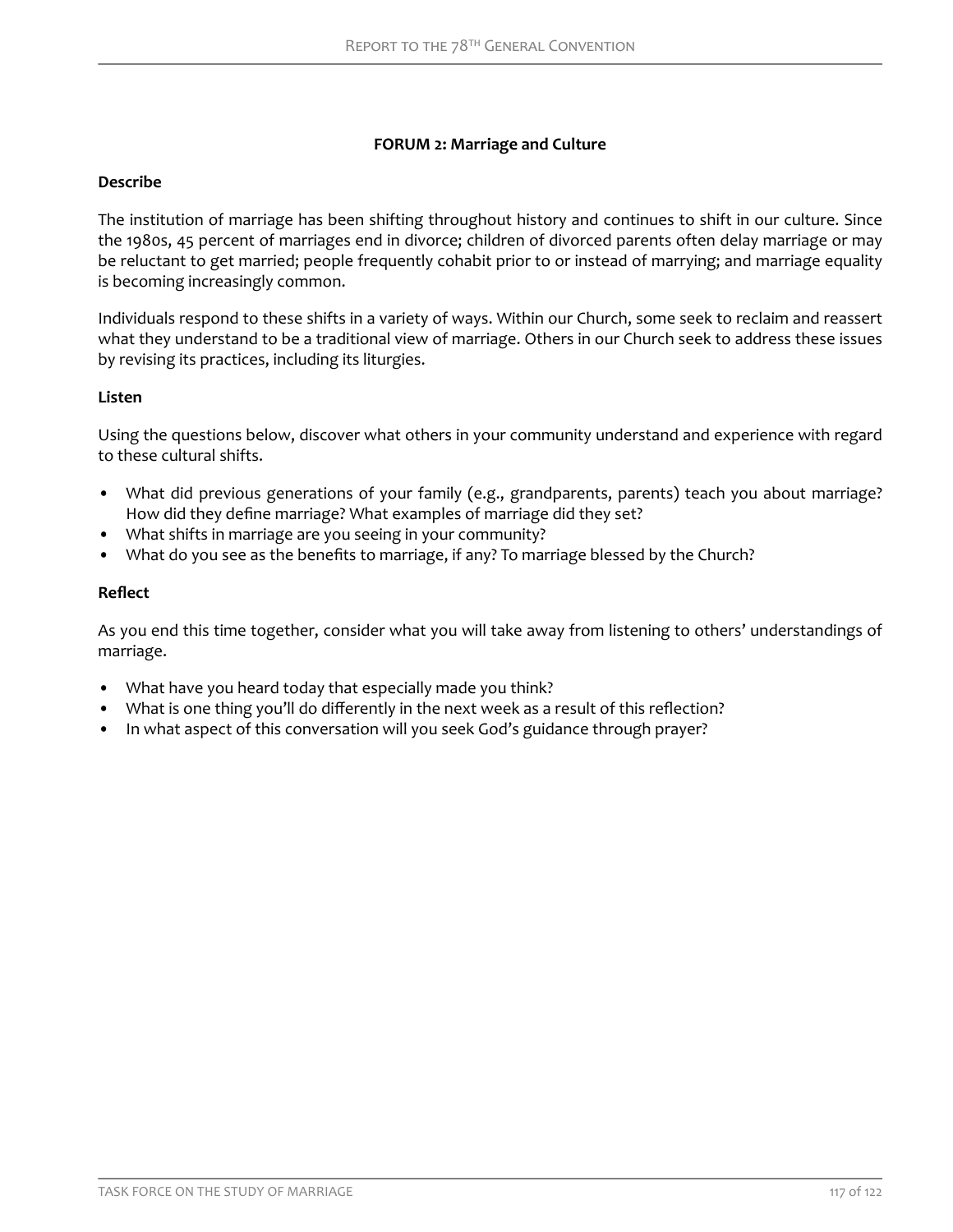# **FORUM 2: Marriage and Culture**

# <span id="page-18-0"></span>**Describe**

The institution of marriage has been shifting throughout history and continues to shift in our culture. Since the 1980s, 45 percent of marriages end in divorce; children of divorced parents often delay marriage or may be reluctant to get married; people frequently cohabit prior to or instead of marrying; and marriage equality is becoming increasingly common.

Individuals respond to these shifts in a variety of ways. Within our Church, some seek to reclaim and reassert what they understand to be a traditional view of marriage. Others in our Church seek to address these issues by revising its practices, including its liturgies.

# **Listen**

Using the questions below, discover what others in your community understand and experience with regard to these cultural shifts.

- What did previous generations of your family (e.g., grandparents, parents) teach you about marriage? How did they define marriage? What examples of marriage did they set?
- What shifts in marriage are you seeing in your community?
- What do you see as the benefits to marriage, if any? To marriage blessed by the Church?

### **Reflect**

As you end this time together, consider what you will take away from listening to others' understandings of marriage.

- What have you heard today that especially made you think?
- What is one thing you'll do differently in the next week as a result of this reflection?
- In what aspect of this conversation will you seek God's guidance through prayer?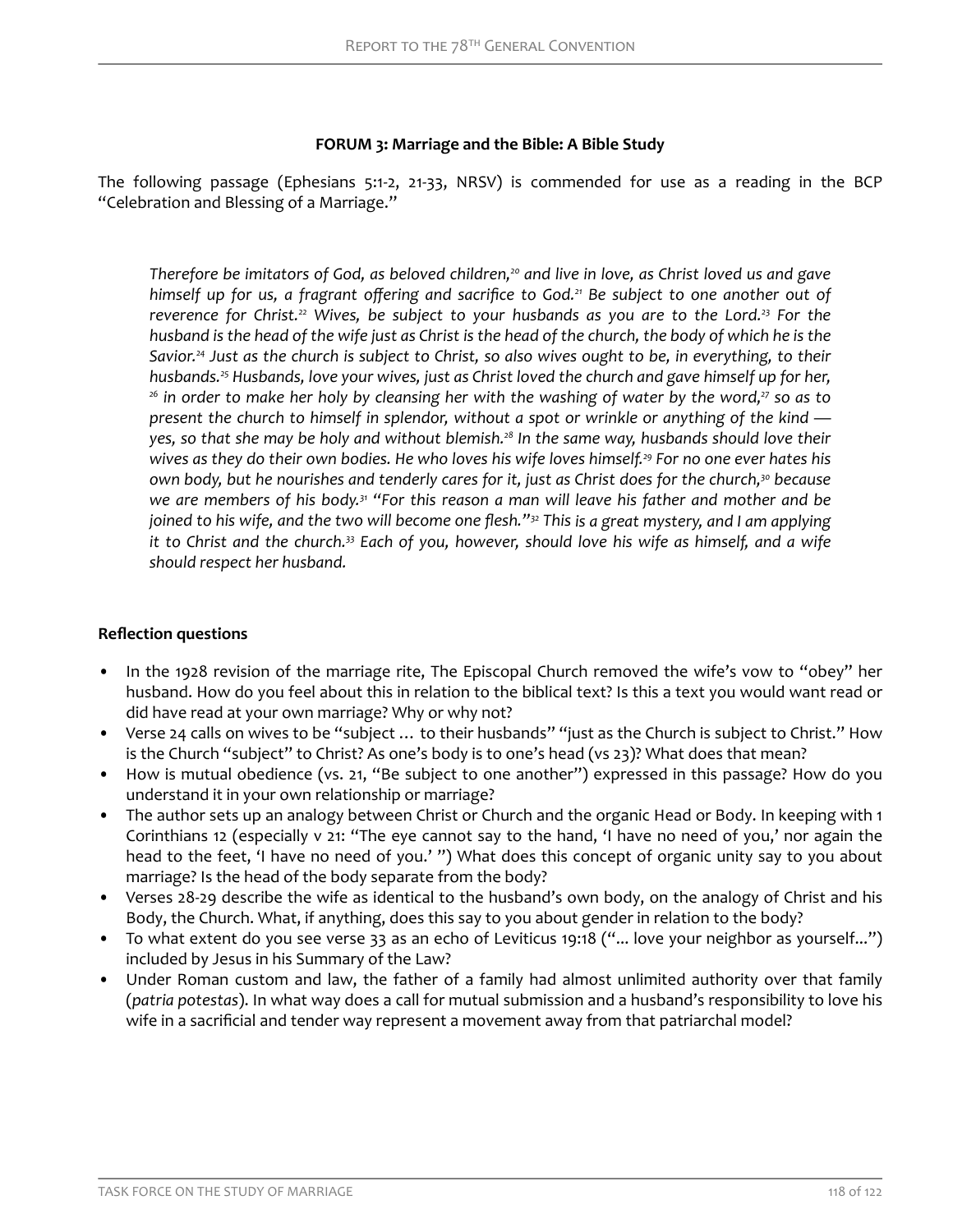## **FORUM 3: Marriage and the Bible: A Bible Study**

The following passage (Ephesians 5:1-2, 21-33, NRSV) is commended for use as a reading in the BCP "Celebration and Blessing of a Marriage."

*Therefore be imitators of God, as beloved children,20 and live in love, as Christ loved us and gave himself up for us, a fragrant offering and sacrifice to God.<sup>21</sup> Be subject to one another out of reverence for Christ.22 Wives, be subject to your husbands as you are to the Lord.23 For the husband is the head of the wife just as Christ is the head of the church, the body of which he is the Savior.24 Just as the church is subject to Christ, so also wives ought to be, in everything, to their husbands.25 Husbands, love your wives, just as Christ loved the church and gave himself up for her, <sup>26</sup> in order to make her holy by cleansing her with the washing of water by the word,27 so as to present the church to himself in splendor, without a spot or wrinkle or anything of the kind yes, so that she may be holy and without blemish.28 In the same way, husbands should love their wives as they do their own bodies. He who loves his wife loves himself.29 For no one ever hates his own body, but he nourishes and tenderly cares for it, just as Christ does for the church,30 because we are members of his body.31 "For this reason a man will leave his father and mother and be joined to his wife, and the two will become one flesh."<sup>32</sup> This is a great mystery, and I am applying it to Christ and the church.33 Each of you, however, should love his wife as himself, and a wife should respect her husband.*

# **Reflection questions**

- In the 1928 revision of the marriage rite, The Episcopal Church removed the wife's vow to "obey" her husband. How do you feel about this in relation to the biblical text? Is this a text you would want read or did have read at your own marriage? Why or why not?
- Verse 24 calls on wives to be "subject … to their husbands" "just as the Church is subject to Christ." How is the Church "subject" to Christ? As one's body is to one's head (vs 23)? What does that mean?
- How is mutual obedience (vs. 21, "Be subject to one another") expressed in this passage? How do you understand it in your own relationship or marriage?
- The author sets up an analogy between Christ or Church and the organic Head or Body. In keeping with 1 Corinthians 12 (especially v 21: "The eye cannot say to the hand, 'I have no need of you,' nor again the head to the feet, 'I have no need of you.' ") What does this concept of organic unity say to you about marriage? Is the head of the body separate from the body?
- Verses 28-29 describe the wife as identical to the husband's own body, on the analogy of Christ and his Body, the Church. What, if anything, does this say to you about gender in relation to the body?
- To what extent do you see verse 33 as an echo of Leviticus 19:18 ("... love your neighbor as yourself...") included by Jesus in his Summary of the Law?
- Under Roman custom and law, the father of a family had almost unlimited authority over that family (*patria potestas*). In what way does a call for mutual submission and a husband's responsibility to love his wife in a sacrificial and tender way represent a movement away from that patriarchal model?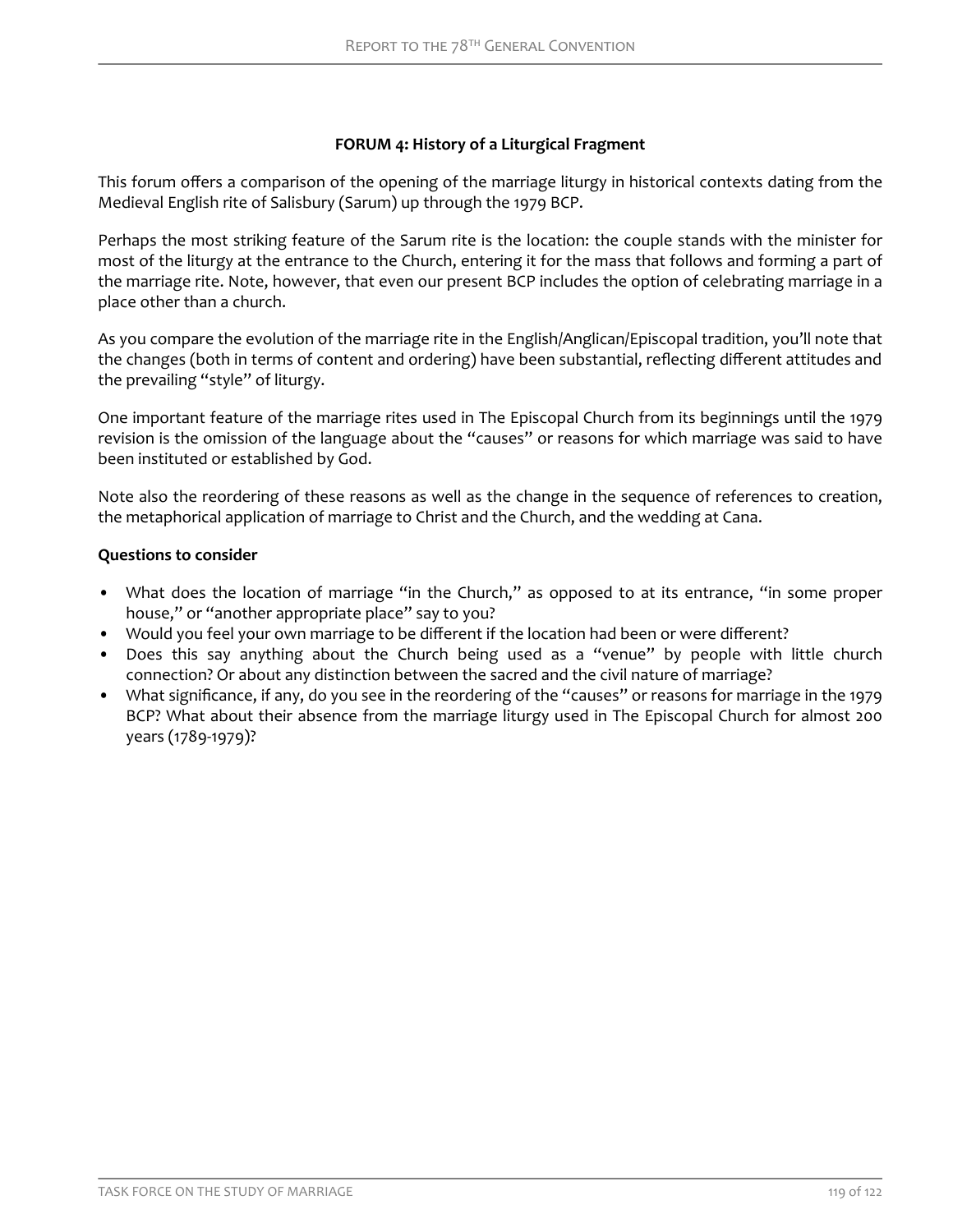# **FORUM 4: History of a Liturgical Fragment**

<span id="page-20-0"></span>This forum offers a comparison of the opening of the marriage liturgy in historical contexts dating from the Medieval English rite of Salisbury (Sarum) up through the 1979 BCP.

Perhaps the most striking feature of the Sarum rite is the location: the couple stands with the minister for most of the liturgy at the entrance to the Church, entering it for the mass that follows and forming a part of the marriage rite. Note, however, that even our present BCP includes the option of celebrating marriage in a place other than a church.

As you compare the evolution of the marriage rite in the English/Anglican/Episcopal tradition, you'll note that the changes (both in terms of content and ordering) have been substantial, reflecting different attitudes and the prevailing "style" of liturgy.

One important feature of the marriage rites used in The Episcopal Church from its beginnings until the 1979 revision is the omission of the language about the "causes" or reasons for which marriage was said to have been instituted or established by God.

Note also the reordering of these reasons as well as the change in the sequence of references to creation, the metaphorical application of marriage to Christ and the Church, and the wedding at Cana.

### **Questions to consider**

- What does the location of marriage "in the Church," as opposed to at its entrance, "in some proper house," or "another appropriate place" say to you?
- Would you feel your own marriage to be different if the location had been or were different?
- Does this say anything about the Church being used as a "venue" by people with little church connection? Or about any distinction between the sacred and the civil nature of marriage?
- What significance, if any, do you see in the reordering of the "causes" or reasons for marriage in the 1979 BCP? What about their absence from the marriage liturgy used in The Episcopal Church for almost 200 years (1789-1979)?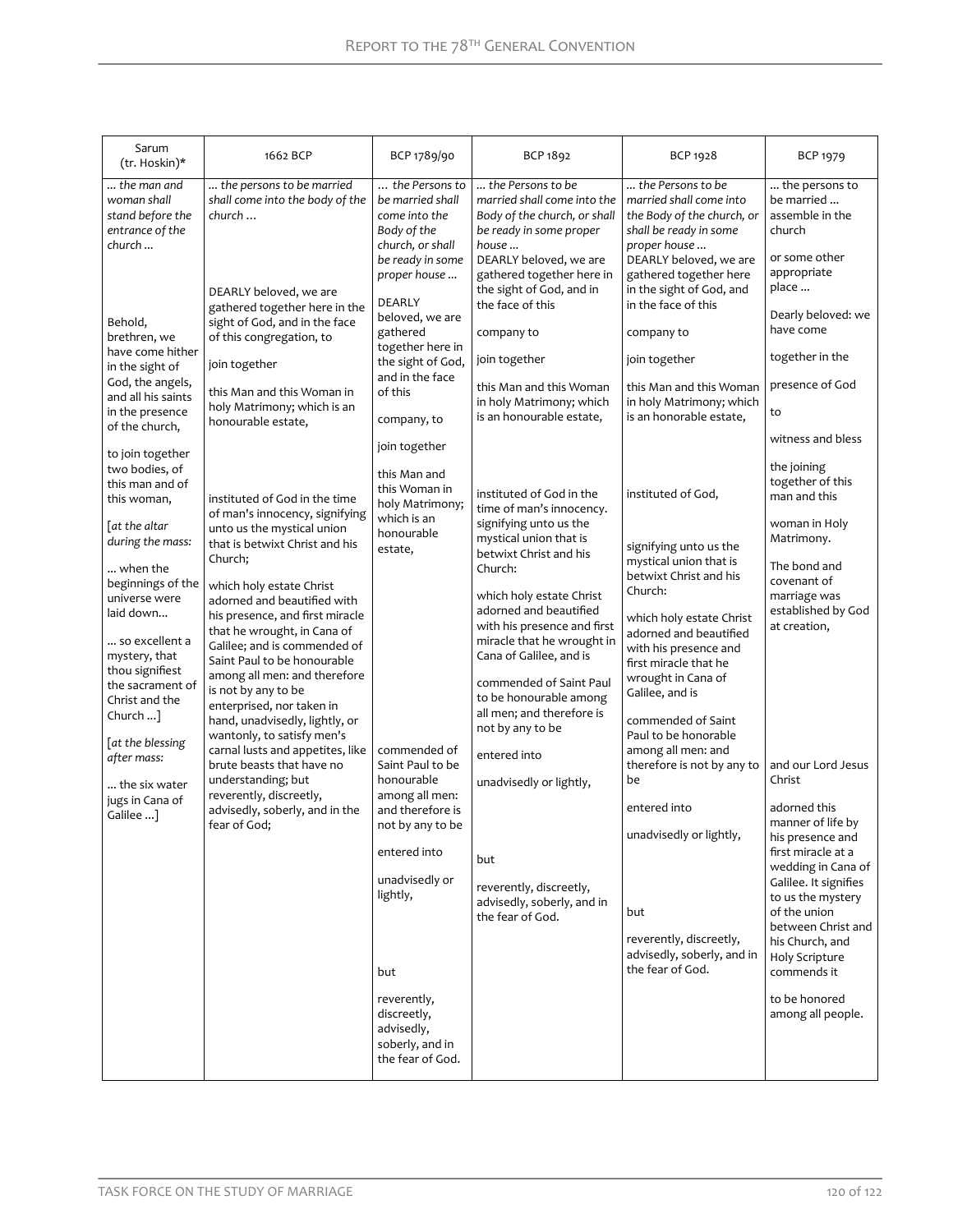| Sarum<br>(tr. Hoskin)*                                                                                                                                                                                                                                                                                                                                                                                                                                                                                                                                                                                  | 1662 BCP                                                                                                                                                                                                                                                                                                                                                                                                                                                                                                                                                                                                                                                                                                                                                                                                                                                                                                                                                             | BCP 1789/90                                                                                                                                                                                                                                                                                                                                                                                                                                                                                                                                                                                            | BCP 1892                                                                                                                                                                                                                                                                                                                                                                                                                                                                                                                                                                                                                                                                                                                                                                                                                                                                          | BCP 1928                                                                                                                                                                                                                                                                                                                                                                                                                                                                                                                                                                                                                                                                                                                                                                                                                                            | <b>BCP 1979</b>                                                                                                                                                                                                                                                                                                                                                                                                                                                                                                                                                                                                                                                                                         |
|---------------------------------------------------------------------------------------------------------------------------------------------------------------------------------------------------------------------------------------------------------------------------------------------------------------------------------------------------------------------------------------------------------------------------------------------------------------------------------------------------------------------------------------------------------------------------------------------------------|----------------------------------------------------------------------------------------------------------------------------------------------------------------------------------------------------------------------------------------------------------------------------------------------------------------------------------------------------------------------------------------------------------------------------------------------------------------------------------------------------------------------------------------------------------------------------------------------------------------------------------------------------------------------------------------------------------------------------------------------------------------------------------------------------------------------------------------------------------------------------------------------------------------------------------------------------------------------|--------------------------------------------------------------------------------------------------------------------------------------------------------------------------------------------------------------------------------------------------------------------------------------------------------------------------------------------------------------------------------------------------------------------------------------------------------------------------------------------------------------------------------------------------------------------------------------------------------|-----------------------------------------------------------------------------------------------------------------------------------------------------------------------------------------------------------------------------------------------------------------------------------------------------------------------------------------------------------------------------------------------------------------------------------------------------------------------------------------------------------------------------------------------------------------------------------------------------------------------------------------------------------------------------------------------------------------------------------------------------------------------------------------------------------------------------------------------------------------------------------|-----------------------------------------------------------------------------------------------------------------------------------------------------------------------------------------------------------------------------------------------------------------------------------------------------------------------------------------------------------------------------------------------------------------------------------------------------------------------------------------------------------------------------------------------------------------------------------------------------------------------------------------------------------------------------------------------------------------------------------------------------------------------------------------------------------------------------------------------------|---------------------------------------------------------------------------------------------------------------------------------------------------------------------------------------------------------------------------------------------------------------------------------------------------------------------------------------------------------------------------------------------------------------------------------------------------------------------------------------------------------------------------------------------------------------------------------------------------------------------------------------------------------------------------------------------------------|
| the man and<br>woman shall<br>stand before the<br>entrance of the<br>church<br>Behold,<br>brethren, we<br>have come hither<br>in the sight of<br>God, the angels,<br>and all his saints<br>in the presence<br>of the church,<br>to join together<br>two bodies, of<br>this man and of<br>this woman,<br>[at the altar<br>during the mass:<br>when the<br>beginnings of the<br>universe were<br>laid down<br>so excellent a<br>mystery, that<br>thou signifiest<br>the sacrament of<br>Christ and the<br>Church $$ ]<br>[at the blessing<br>after mass:<br>the six water<br>jugs in Cana of<br>Galilee ] | the persons to be married<br>shall come into the body of the<br>church<br>DEARLY beloved, we are<br>gathered together here in the<br>sight of God, and in the face<br>of this congregation, to<br>join together<br>this Man and this Woman in<br>holy Matrimony; which is an<br>honourable estate,<br>instituted of God in the time<br>of man's innocency, signifying<br>unto us the mystical union<br>that is betwixt Christ and his<br>Church;<br>which holy estate Christ<br>adorned and beautified with<br>his presence, and first miracle<br>that he wrought, in Cana of<br>Galilee; and is commended of<br>Saint Paul to be honourable<br>among all men: and therefore<br>is not by any to be<br>enterprised, nor taken in<br>hand, unadvisedly, lightly, or<br>wantonly, to satisfy men's<br>carnal lusts and appetites, like<br>brute beasts that have no<br>understanding; but<br>reverently, discreetly,<br>advisedly, soberly, and in the<br>fear of God; | the Persons to<br>be married shall<br>come into the<br>Body of the<br>church, or shall<br>be ready in some<br>proper house<br>DEARLY<br>beloved, we are<br>gathered<br>together here in<br>the sight of God,<br>and in the face<br>of this<br>company, to<br>join together<br>this Man and<br>this Woman in<br>holy Matrimony;<br>which is an<br>honourable<br>estate,<br>commended of<br>Saint Paul to be<br>honourable<br>among all men:<br>and therefore is<br>not by any to be<br>entered into<br>unadvisedly or<br>lightly,<br>but<br>reverently,<br>discreetly,<br>advisedly,<br>soberly, and in | the Persons to be<br>married shall come into the<br>Body of the church, or shall<br>be ready in some proper<br>house<br>DEARLY beloved, we are<br>gathered together here in<br>the sight of God, and in<br>the face of this<br>company to<br>join together<br>this Man and this Woman<br>in holy Matrimony; which<br>is an honourable estate,<br>instituted of God in the<br>time of man's innocency.<br>signifying unto us the<br>mystical union that is<br>betwixt Christ and his<br>Church:<br>which holy estate Christ<br>adorned and beautified<br>with his presence and first<br>miracle that he wrought in<br>Cana of Galilee, and is<br>commended of Saint Paul<br>to be honourable among<br>all men; and therefore is<br>not by any to be<br>entered into<br>unadvisedly or lightly,<br>but<br>reverently, discreetly,<br>advisedly, soberly, and in<br>the fear of God. | the Persons to be<br>married shall come into<br>the Body of the church, or<br>shall be ready in some<br>proper house<br>DEARLY beloved, we are<br>gathered together here<br>in the sight of God, and<br>in the face of this<br>company to<br>join together<br>this Man and this Woman<br>in holy Matrimony; which<br>is an honorable estate,<br>instituted of God,<br>signifying unto us the<br>mystical union that is<br>betwixt Christ and his<br>Church:<br>which holy estate Christ<br>adorned and beautified<br>with his presence and<br>first miracle that he<br>wrought in Cana of<br>Galilee, and is<br>commended of Saint<br>Paul to be honorable<br>among all men: and<br>therefore is not by any to<br>be<br>entered into<br>unadvisedly or lightly,<br>but<br>reverently, discreetly,<br>advisedly, soberly, and in<br>the fear of God. | the persons to<br>be married<br>assemble in the<br>church<br>or some other<br>appropriate<br>place<br>Dearly beloved: we<br>have come<br>together in the<br>presence of God<br>to<br>witness and bless<br>the joining<br>together of this<br>man and this<br>woman in Holy<br>Matrimony.<br>The bond and<br>covenant of<br>marriage was<br>established by God<br>at creation,<br>and our Lord Jesus<br>Christ<br>adorned this<br>manner of life by<br>his presence and<br>first miracle at a<br>wedding in Cana of<br>Galilee. It signifies<br>to us the mystery<br>of the union<br>between Christ and<br>his Church, and<br><b>Holy Scripture</b><br>commends it<br>to be honored<br>among all people. |
|                                                                                                                                                                                                                                                                                                                                                                                                                                                                                                                                                                                                         |                                                                                                                                                                                                                                                                                                                                                                                                                                                                                                                                                                                                                                                                                                                                                                                                                                                                                                                                                                      | the fear of God.                                                                                                                                                                                                                                                                                                                                                                                                                                                                                                                                                                                       |                                                                                                                                                                                                                                                                                                                                                                                                                                                                                                                                                                                                                                                                                                                                                                                                                                                                                   |                                                                                                                                                                                                                                                                                                                                                                                                                                                                                                                                                                                                                                                                                                                                                                                                                                                     |                                                                                                                                                                                                                                                                                                                                                                                                                                                                                                                                                                                                                                                                                                         |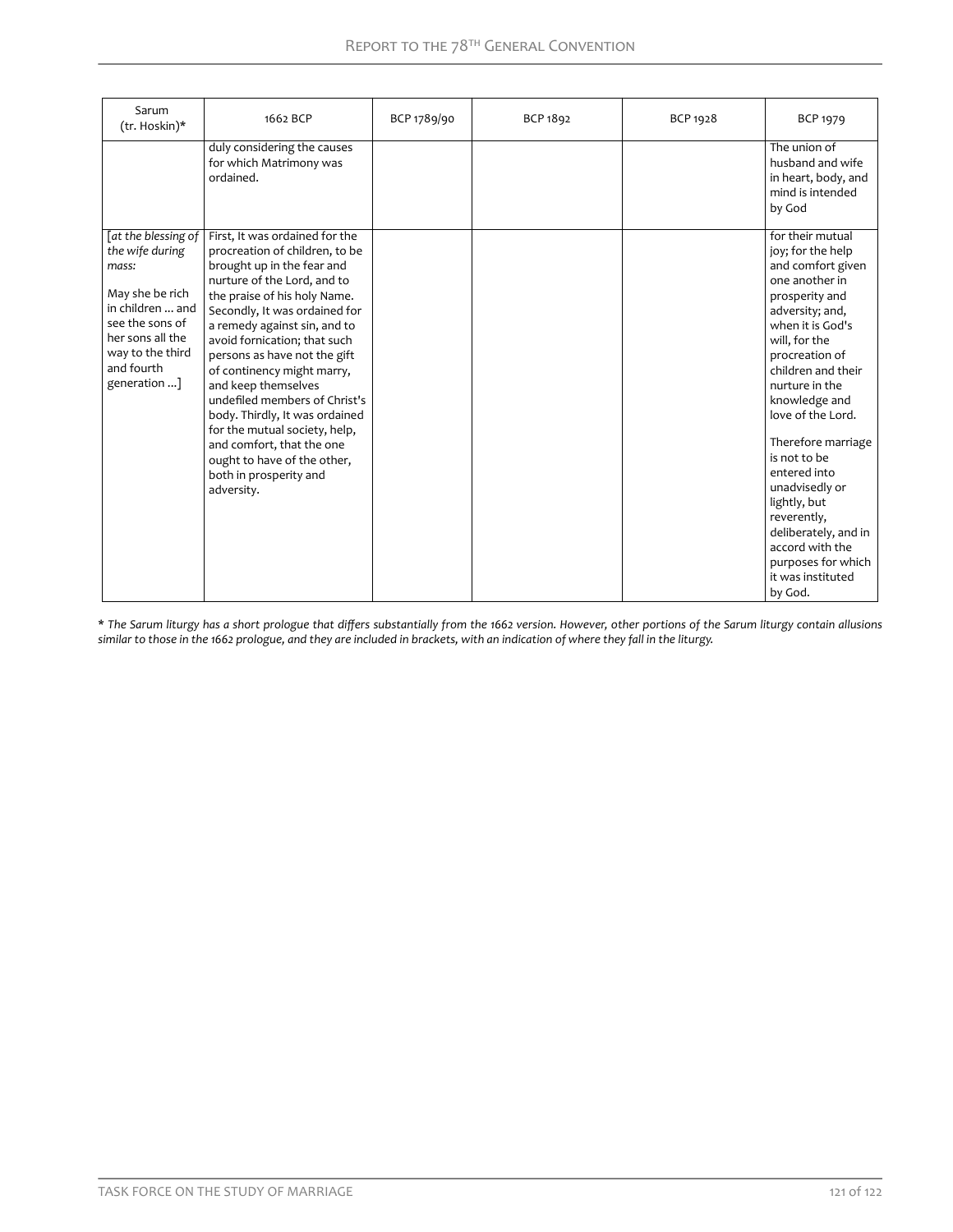| Sarum<br>(tr. Hoskin)*                                                                                                                                                         | 1662 BCP                                                                                                                                                                                                                                                                                                                                                                                                                                                                                                                                                    | BCP 1789/90 | BCP 1892 | <b>BCP 1928</b> | <b>BCP 1979</b>                                                                                                                                                                                                                                                                                                                                                                                                                                                |
|--------------------------------------------------------------------------------------------------------------------------------------------------------------------------------|-------------------------------------------------------------------------------------------------------------------------------------------------------------------------------------------------------------------------------------------------------------------------------------------------------------------------------------------------------------------------------------------------------------------------------------------------------------------------------------------------------------------------------------------------------------|-------------|----------|-----------------|----------------------------------------------------------------------------------------------------------------------------------------------------------------------------------------------------------------------------------------------------------------------------------------------------------------------------------------------------------------------------------------------------------------------------------------------------------------|
|                                                                                                                                                                                | duly considering the causes<br>for which Matrimony was<br>ordained.                                                                                                                                                                                                                                                                                                                                                                                                                                                                                         |             |          |                 | The union of<br>husband and wife<br>in heart, body, and<br>mind is intended<br>by God                                                                                                                                                                                                                                                                                                                                                                          |
| [at the blessing of<br>the wife during<br>mass:<br>May she be rich<br>in children  and<br>see the sons of<br>her sons all the<br>way to the third<br>and fourth<br>generation] | First, It was ordained for the<br>procreation of children, to be<br>brought up in the fear and<br>nurture of the Lord, and to<br>the praise of his holy Name.<br>Secondly, It was ordained for<br>a remedy against sin, and to<br>avoid fornication; that such<br>persons as have not the gift<br>of continency might marry,<br>and keep themselves<br>undefiled members of Christ's<br>body. Thirdly, It was ordained<br>for the mutual society, help,<br>and comfort, that the one<br>ought to have of the other,<br>both in prosperity and<br>adversity. |             |          |                 | for their mutual<br>joy; for the help<br>and comfort given<br>one another in<br>prosperity and<br>adversity; and,<br>when it is God's<br>will, for the<br>procreation of<br>children and their<br>nurture in the<br>knowledge and<br>love of the Lord.<br>Therefore marriage<br>is not to be<br>entered into<br>unadvisedly or<br>lightly, but<br>reverently,<br>deliberately, and in<br>accord with the<br>purposes for which<br>it was instituted<br>by God. |

\* *The Sarum liturgy has a short prologue that diơers substantially from the 1662 version. However, other portions of the Sarum liturgy contain allusions similar to those in the 1662 prologue, and they are included in brackets, with an indication of where they fall in the liturgy.*